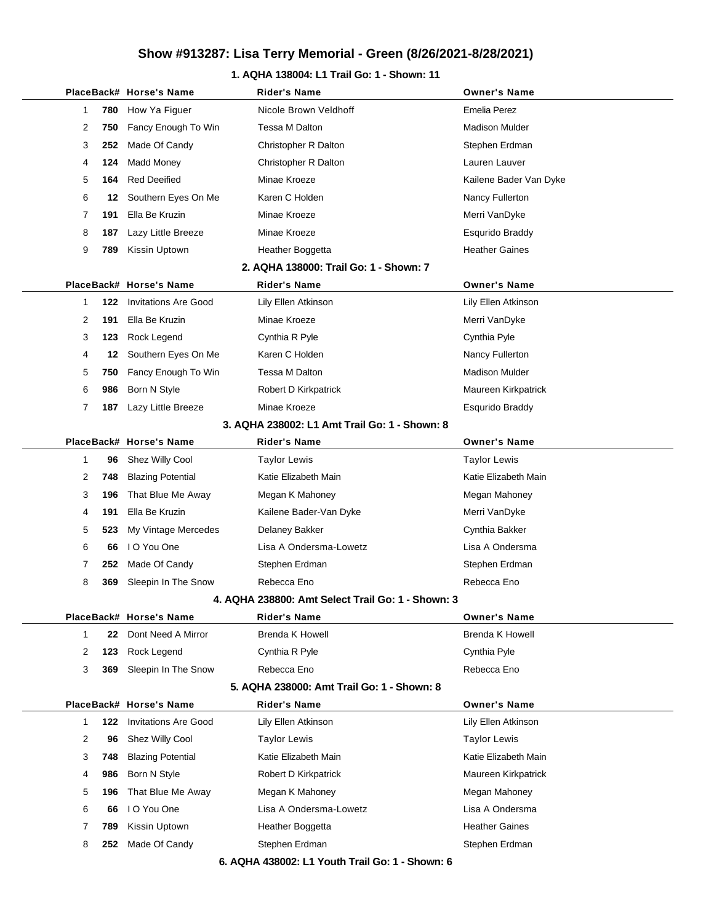### **1. AQHA 138004: L1 Trail Go: 1 - Shown: 11**

|              |     | PlaceBack# Horse's Name     | <b>Rider's Name</b>                               | <b>Owner's Name</b>    |
|--------------|-----|-----------------------------|---------------------------------------------------|------------------------|
| 1            | 780 | How Ya Figuer               | Nicole Brown Veldhoff                             | Emelia Perez           |
| 2            | 750 | Fancy Enough To Win         | Tessa M Dalton                                    | <b>Madison Mulder</b>  |
| 3            | 252 | Made Of Candy               | Christopher R Dalton                              | Stephen Erdman         |
| 4            | 124 | <b>Madd Money</b>           | Christopher R Dalton                              | Lauren Lauver          |
| 5            | 164 | <b>Red Deeified</b>         | Minae Kroeze                                      | Kailene Bader Van Dyke |
| 6            | 12  | Southern Eyes On Me         | Karen C Holden                                    | Nancy Fullerton        |
| 7            | 191 | Ella Be Kruzin              | Minae Kroeze                                      | Merri VanDyke          |
| 8            | 187 | Lazy Little Breeze          | Minae Kroeze                                      | Esqurido Braddy        |
| 9            | 789 | Kissin Uptown               | Heather Boggetta                                  | <b>Heather Gaines</b>  |
|              |     |                             | 2. AQHA 138000: Trail Go: 1 - Shown: 7            |                        |
|              |     | PlaceBack# Horse's Name     | <b>Rider's Name</b>                               | <b>Owner's Name</b>    |
| 1            | 122 | <b>Invitations Are Good</b> | Lily Ellen Atkinson                               | Lily Ellen Atkinson    |
| 2            | 191 | Ella Be Kruzin              | Minae Kroeze                                      | Merri VanDyke          |
| 3            | 123 | Rock Legend                 | Cynthia R Pyle                                    | Cynthia Pyle           |
| 4            | 12  | Southern Eyes On Me         | Karen C Holden                                    | Nancy Fullerton        |
| 5            | 750 | Fancy Enough To Win         | Tessa M Dalton                                    | <b>Madison Mulder</b>  |
| 6            | 986 | Born N Style                | Robert D Kirkpatrick                              | Maureen Kirkpatrick    |
| 7            | 187 | Lazy Little Breeze          | Minae Kroeze                                      | Esqurido Braddy        |
|              |     |                             | 3. AQHA 238002: L1 Amt Trail Go: 1 - Shown: 8     |                        |
|              |     | PlaceBack# Horse's Name     | <b>Rider's Name</b>                               | <b>Owner's Name</b>    |
| $\mathbf{1}$ | 96  | Shez Willy Cool             | <b>Taylor Lewis</b>                               | <b>Taylor Lewis</b>    |
| 2            | 748 | <b>Blazing Potential</b>    | Katie Elizabeth Main                              | Katie Elizabeth Main   |
| 3            | 196 | That Blue Me Away           | Megan K Mahoney                                   | Megan Mahoney          |
| 4            | 191 | Ella Be Kruzin              | Kailene Bader-Van Dyke                            | Merri VanDyke          |
| 5            | 523 | My Vintage Mercedes         | Delaney Bakker                                    | Cynthia Bakker         |
| 6            | 66  | I O You One                 | Lisa A Ondersma-Lowetz                            | Lisa A Ondersma        |
| 7            | 252 | Made Of Candy               | Stephen Erdman                                    | Stephen Erdman         |
| 8            | 369 | Sleepin In The Snow         | Rebecca Eno                                       | Rebecca Eno            |
|              |     |                             | 4. AQHA 238800: Amt Select Trail Go: 1 - Shown: 3 |                        |
|              |     | PlaceBack# Horse's Name     | <b>Rider's Name</b>                               | <b>Owner's Name</b>    |
| 1            | 22  | Dont Need A Mirror          | Brenda K Howell                                   | Brenda K Howell        |
| 2            | 123 | Rock Legend                 | Cynthia R Pyle                                    | Cynthia Pyle           |
| 3            | 369 | Sleepin In The Snow         | Rebecca Eno                                       | Rebecca Eno            |
|              |     |                             | 5. AQHA 238000: Amt Trail Go: 1 - Shown: 8        |                        |
|              |     | PlaceBack# Horse's Name     | <b>Rider's Name</b>                               | <b>Owner's Name</b>    |
| $\mathbf{1}$ | 122 | <b>Invitations Are Good</b> | Lily Ellen Atkinson                               | Lily Ellen Atkinson    |
| 2            | 96  | Shez Willy Cool             | <b>Taylor Lewis</b>                               | Taylor Lewis           |
| 3            | 748 | <b>Blazing Potential</b>    | Katie Elizabeth Main                              | Katie Elizabeth Main   |
| 4            | 986 | Born N Style                | Robert D Kirkpatrick                              | Maureen Kirkpatrick    |
| 5            | 196 | That Blue Me Away           | Megan K Mahoney                                   | Megan Mahoney          |
| 6            | 66  | I O You One                 | Lisa A Ondersma-Lowetz                            | Lisa A Ondersma        |
| 7            | 789 | Kissin Uptown               | Heather Boggetta                                  | <b>Heather Gaines</b>  |
| 8            | 252 | Made Of Candy               | Stephen Erdman                                    | Stephen Erdman         |
|              |     |                             | 6. AQHA 438002: L1 Youth Trail Go: 1 - Shown: 6   |                        |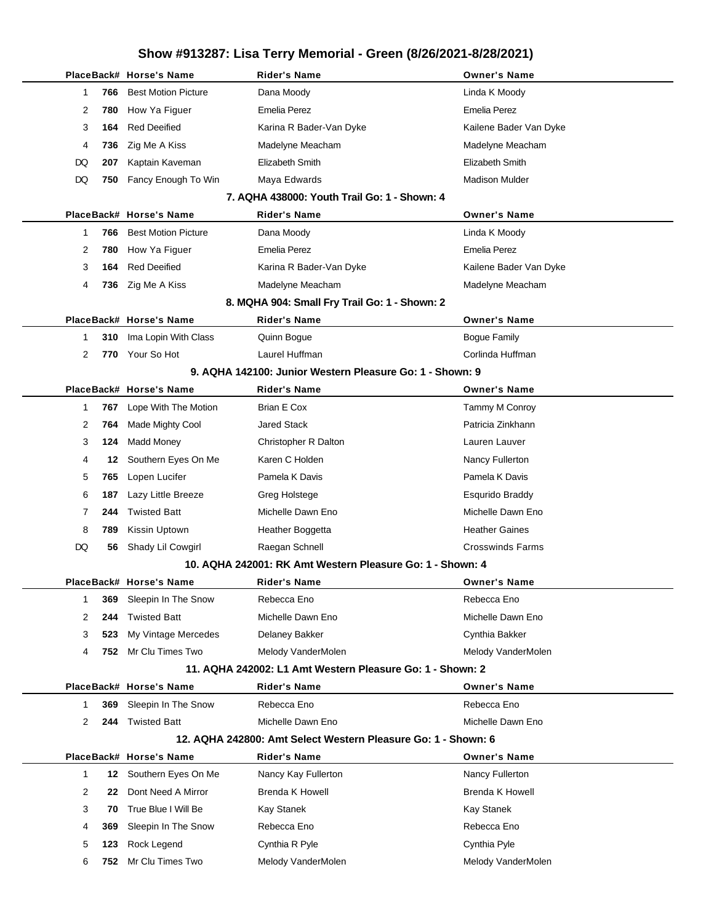|                       | PlaceBack# Horse's Name    | Rider's Name                                                  | <b>Owner's Name</b>     |
|-----------------------|----------------------------|---------------------------------------------------------------|-------------------------|
| 766<br>1              | <b>Best Motion Picture</b> | Dana Moody                                                    | Linda K Moody           |
| 2<br>780              | How Ya Figuer              | <b>Emelia Perez</b>                                           | Emelia Perez            |
| 3<br>164              | <b>Red Deeified</b>        | Karina R Bader-Van Dyke                                       | Kailene Bader Van Dyke  |
| 4<br>736              | Zig Me A Kiss              | Madelyne Meacham                                              | Madelyne Meacham        |
| 207<br>DQ             | Kaptain Kaveman            | Elizabeth Smith                                               | Elizabeth Smith         |
| DQ<br>750             | Fancy Enough To Win        | Maya Edwards                                                  | <b>Madison Mulder</b>   |
|                       |                            | 7. AQHA 438000: Youth Trail Go: 1 - Shown: 4                  |                         |
|                       | PlaceBack# Horse's Name    | <b>Rider's Name</b>                                           | <b>Owner's Name</b>     |
| 1<br>766              | <b>Best Motion Picture</b> | Dana Moody                                                    | Linda K Moody           |
| 2<br>780              | How Ya Figuer              | <b>Emelia Perez</b>                                           | Emelia Perez            |
| 3<br>164              | <b>Red Deeified</b>        | Karina R Bader-Van Dyke                                       | Kailene Bader Van Dyke  |
| 4                     | 736 Zig Me A Kiss          | Madelyne Meacham                                              | Madelyne Meacham        |
|                       |                            | 8. MQHA 904: Small Fry Trail Go: 1 - Shown: 2                 |                         |
|                       | PlaceBack# Horse's Name    | <b>Rider's Name</b>                                           | <b>Owner's Name</b>     |
| 1<br>310              | Ima Lopin With Class       | Quinn Bogue                                                   | <b>Bogue Family</b>     |
| $\overline{2}$        | 770 Your So Hot            | Laurel Huffman                                                | Corlinda Huffman        |
|                       |                            | 9. AQHA 142100: Junior Western Pleasure Go: 1 - Shown: 9      |                         |
|                       | PlaceBack# Horse's Name    | <b>Rider's Name</b>                                           | <b>Owner's Name</b>     |
| 1<br>767              | Lope With The Motion       | Brian E Cox                                                   | Tammy M Conroy          |
| 2<br>764              | <b>Made Mighty Cool</b>    | <b>Jared Stack</b>                                            | Patricia Zinkhann       |
| 3<br>124              | Madd Money                 | Christopher R Dalton                                          | Lauren Lauver           |
| 4                     | 12 Southern Eyes On Me     | Karen C Holden                                                | Nancy Fullerton         |
| 5<br>765              | Lopen Lucifer              | Pamela K Davis                                                | Pamela K Davis          |
| 6<br>187              | Lazy Little Breeze         | Greg Holstege                                                 | Esqurido Braddy         |
| 7<br>244              | <b>Twisted Batt</b>        | Michelle Dawn Eno                                             | Michelle Dawn Eno       |
| 8<br>789              | Kissin Uptown              | Heather Boggetta                                              | <b>Heather Gaines</b>   |
| DQ                    | 56 Shady Lil Cowgirl       | Raegan Schnell                                                | <b>Crosswinds Farms</b> |
|                       |                            | 10. AQHA 242001: RK Amt Western Pleasure Go: 1 - Shown: 4     |                         |
|                       | PlaceBack# Horse's Name    | <b>Rider's Name</b>                                           | <b>Owner's Name</b>     |
| 1<br>369              | Sleepin In The Snow        | Rebecca Eno                                                   | Rebecca Eno             |
| 2<br>244              | <b>Twisted Batt</b>        | Michelle Dawn Eno                                             | Michelle Dawn Eno       |
| 3<br>523              | My Vintage Mercedes        | Delaney Bakker                                                | Cynthia Bakker          |
| 4<br>752              | Mr Clu Times Two           | Melody VanderMolen                                            | Melody VanderMolen      |
|                       |                            | 11. AQHA 242002: L1 Amt Western Pleasure Go: 1 - Shown: 2     |                         |
|                       | PlaceBack# Horse's Name    | <b>Rider's Name</b>                                           | <b>Owner's Name</b>     |
| 1<br>369              | Sleepin In The Snow        | Rebecca Eno                                                   | Rebecca Eno             |
| $\overline{2}$<br>244 | <b>Twisted Batt</b>        | Michelle Dawn Eno                                             | Michelle Dawn Eno       |
|                       |                            | 12. AQHA 242800: Amt Select Western Pleasure Go: 1 - Shown: 6 |                         |
|                       | PlaceBack# Horse's Name    | <b>Rider's Name</b>                                           | <b>Owner's Name</b>     |
| 1<br>12               | Southern Eyes On Me        | Nancy Kay Fullerton                                           | Nancy Fullerton         |
| 2<br>22               | Dont Need A Mirror         | <b>Brenda K Howell</b>                                        | <b>Brenda K Howell</b>  |
| 3<br>70               | True Blue I Will Be        | Kay Stanek                                                    | <b>Kay Stanek</b>       |
| 4<br>369              | Sleepin In The Snow        | Rebecca Eno                                                   | Rebecca Eno             |
| 5<br>123              | Rock Legend                | Cynthia R Pyle                                                | Cynthia Pyle            |
| 6                     | 752 Mr Clu Times Two       | Melody VanderMolen                                            | Melody VanderMolen      |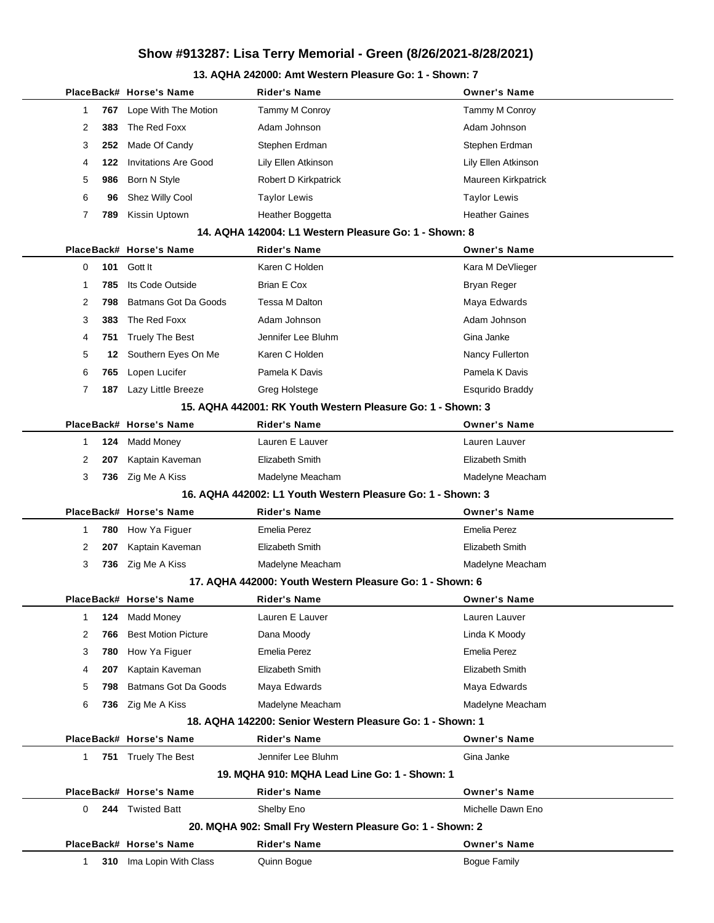### **13. AQHA 242000: Amt Western Pleasure Go: 1 - Shown: 7**

|              |     | PlaceBack# Horse's Name     | Rider's Name                                                | <b>Owner's Name</b>    |  |  |
|--------------|-----|-----------------------------|-------------------------------------------------------------|------------------------|--|--|
| 1            | 767 | Lope With The Motion        | Tammy M Conroy                                              | Tammy M Conroy         |  |  |
| 2            | 383 | The Red Foxx                | Adam Johnson                                                | Adam Johnson           |  |  |
| 3            | 252 | Made Of Candy               | Stephen Erdman                                              | Stephen Erdman         |  |  |
| 4            | 122 | <b>Invitations Are Good</b> | Lily Ellen Atkinson                                         | Lily Ellen Atkinson    |  |  |
| 5            | 986 | Born N Style                | Robert D Kirkpatrick                                        | Maureen Kirkpatrick    |  |  |
| 6            | 96  | Shez Willy Cool             | Taylor Lewis                                                | <b>Taylor Lewis</b>    |  |  |
| 7            | 789 | Kissin Uptown               | Heather Boggetta                                            | <b>Heather Gaines</b>  |  |  |
|              |     |                             | 14. AQHA 142004: L1 Western Pleasure Go: 1 - Shown: 8       |                        |  |  |
|              |     | PlaceBack# Horse's Name     | Rider's Name                                                | <b>Owner's Name</b>    |  |  |
| 0            | 101 | Gott It                     | Karen C Holden                                              | Kara M DeVlieger       |  |  |
| 1            | 785 | Its Code Outside            | Brian E Cox                                                 | Bryan Reger            |  |  |
| 2            | 798 | Batmans Got Da Goods        | Tessa M Dalton                                              | Maya Edwards           |  |  |
| 3            | 383 | The Red Foxx                | Adam Johnson                                                | Adam Johnson           |  |  |
| 4            | 751 | <b>Truely The Best</b>      | Jennifer Lee Bluhm                                          | Gina Janke             |  |  |
| 5            | 12  | Southern Eyes On Me         | Karen C Holden                                              | Nancy Fullerton        |  |  |
| 6            | 765 | Lopen Lucifer               | Pamela K Davis                                              | Pamela K Davis         |  |  |
| 7            | 187 | Lazy Little Breeze          | Greg Holstege                                               | <b>Esqurido Braddy</b> |  |  |
|              |     |                             | 15. AQHA 442001: RK Youth Western Pleasure Go: 1 - Shown: 3 |                        |  |  |
|              |     | PlaceBack# Horse's Name     | Rider's Name                                                | <b>Owner's Name</b>    |  |  |
| $\mathbf{1}$ | 124 | <b>Madd Money</b>           | Lauren E Lauver                                             | Lauren Lauver          |  |  |
| 2            | 207 | Kaptain Kaveman             | Elizabeth Smith                                             | Elizabeth Smith        |  |  |
| 3            | 736 | Zig Me A Kiss               | Madelyne Meacham                                            | Madelyne Meacham       |  |  |
|              |     |                             | 16. AQHA 442002: L1 Youth Western Pleasure Go: 1 - Shown: 3 |                        |  |  |
|              |     | PlaceBack# Horse's Name     | Rider's Name                                                | <b>Owner's Name</b>    |  |  |
| 1            | 780 | How Ya Figuer               | <b>Emelia Perez</b>                                         | <b>Emelia Perez</b>    |  |  |
| 2            | 207 | Kaptain Kaveman             | Elizabeth Smith                                             | Elizabeth Smith        |  |  |
| 3            | 736 | Zig Me A Kiss               | Madelyne Meacham                                            | Madelyne Meacham       |  |  |
|              |     |                             | 17. AQHA 442000: Youth Western Pleasure Go: 1 - Shown: 6    |                        |  |  |
|              |     | PlaceBack# Horse's Name     | Rider's Name                                                | <b>Owner's Name</b>    |  |  |
| 1            | 124 | <b>Madd Money</b>           | Lauren E Lauver                                             | Lauren Lauver          |  |  |
| 2            | 766 | <b>Best Motion Picture</b>  | Dana Moody                                                  | Linda K Moody          |  |  |
| 3            | 780 | How Ya Figuer               | <b>Emelia Perez</b>                                         | <b>Emelia Perez</b>    |  |  |
| 4            | 207 | Kaptain Kaveman             | Elizabeth Smith                                             | Elizabeth Smith        |  |  |
| 5            | 798 | <b>Batmans Got Da Goods</b> | Maya Edwards                                                | Maya Edwards           |  |  |
| 6            | 736 | Zig Me A Kiss               | Madelyne Meacham                                            | Madelyne Meacham       |  |  |
|              |     |                             | 18. AQHA 142200: Senior Western Pleasure Go: 1 - Shown: 1   |                        |  |  |
|              |     | PlaceBack# Horse's Name     | <b>Rider's Name</b>                                         | <b>Owner's Name</b>    |  |  |
| 1.           |     | 751 Truely The Best         | Jennifer Lee Bluhm                                          | Gina Janke             |  |  |
|              |     |                             | 19. MQHA 910: MQHA Lead Line Go: 1 - Shown: 1               |                        |  |  |
|              |     | PlaceBack# Horse's Name     | <b>Rider's Name</b>                                         | <b>Owner's Name</b>    |  |  |
| 0            |     | 244 Twisted Batt            | Shelby Eno                                                  | Michelle Dawn Eno      |  |  |
|              |     |                             | 20. MQHA 902: Small Fry Western Pleasure Go: 1 - Shown: 2   |                        |  |  |
|              |     | PlaceBack# Horse's Name     | <b>Rider's Name</b>                                         | <b>Owner's Name</b>    |  |  |
| 1            | 310 | Ima Lopin With Class        | Quinn Bogue                                                 | <b>Bogue Family</b>    |  |  |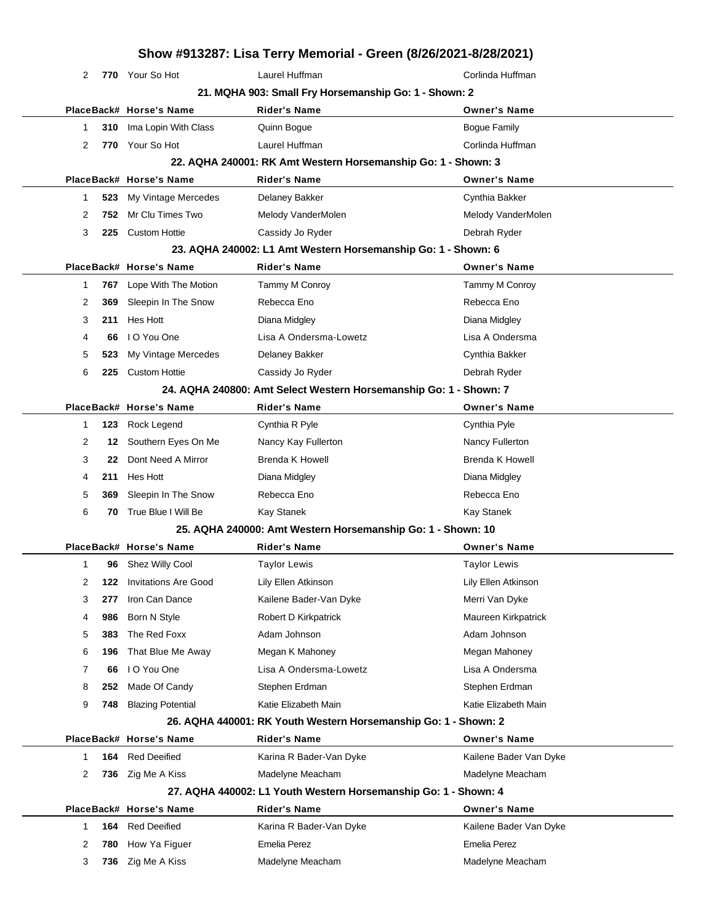## **Show #913287: Lisa Terry Memorial - Green (8/26/2021-8/28/2021) 770** Your So Hot **Corlines Laurel Huffman** Corlines **Corlines Huffman 21. MQHA 903: Small Fry Horsemanship Go: 1 - Shown: 2 PlaceBack# Horse's Name Rider's Name Owner's Name 310** Ima Lopin With Class **Quinn Bogue Community Bogue Family** Bogue Family 2 770 Your So Hot Laurel Huffman **Corlinda Huffman 22. AQHA 240001: RK Amt Western Horsemanship Go: 1 - Shown: 3 PlaceBack# Horse's Name Rider's Name Owner's Name 523** My Vintage Mercedes Delaney Bakker Cynthia Bakker Cynthia Bakker **752** Mr Clu Times Two **Melody VanderMolen** Melody VanderMolen Melody VanderMolen **225** Custom Hottie Cassidy Jo Ryder Debrah Ryder **23. AQHA 240002: L1 Amt Western Horsemanship Go: 1 - Shown: 6 PlaceBack# Horse's Name Rider's Name Owner's Name 767** Lope With The Motion Tammy M Conroy Tammy M Conroy **369** Sleepin In The Snow Rebecca Eno Rebecca Eno Rebecca Eno **211** Hes Hott Diana Midgley Diana Midgley **66** I O You One Lisa A Ondersma-Lowetz Lisa A Ondersma **523** My Vintage Mercedes Delaney Bakker Cynthia Bakker **225** Custom Hottie Cassidy Jo Ryder Debrah Ryder **24. AQHA 240800: Amt Select Western Horsemanship Go: 1 - Shown: 7 PlaceBack# Horse's Name Rider's Name Owner's Name 123** Rock Legend Cynthia R Pyle Cynthia Pyle **12** Southern Eyes On Me Nancy Kay Fullerton Nancy Fullerton Nancy Fullerton **22** Dont Need A Mirror Brenda K Howell Brenda K Howell Brenda K Howell **211** Hes Hott Diana Midgley Diana Midgley **369** Sleepin In The Snow Rebecca Eno Rebecca Eno Rebecca Eno **70** True Blue I Will Be Kay Stanek Kay Stanek **25. AQHA 240000: Amt Western Horsemanship Go: 1 - Shown: 10 PlaceBack# Horse's Name Rider's Name Owner's Name 96** Shez Willy Cool **Taylor Lewis** Taylor Lewis Taylor Lewis Taylor Lewis **122** Invitations Are Good Lily Ellen Atkinson Lily Ellen Atkinson **277** Iron Can Dance **Kailene Bader-Van Dyke** Merri Van Dyke **986** Born N Style **Robert D Kirkpatrick** Maureen Kirkpatrick **383** The Red Foxx **Adam Johnson** Adam Johnson Adam Johnson **196** That Blue Me Away Megan K Mahoney Megan Mercent Megan Mahoney **66** I O You One Lisa A Ondersma-Lowetz Lisa A Ondersma **252** Made Of Candy Stephen Erdman Stephen Erdman **748** Blazing Potential **Katie Elizabeth Main** Katie Elizabeth Main Katie Elizabeth Main **26. AQHA 440001: RK Youth Western Horsemanship Go: 1 - Shown: 2 PlaceBack# Horse's Name Rider's Name Owner's Name 164** Red Deeified **Karina R Bader-Van Dyke** Kailene Bader Van Dyke 2 736 Zig Me A Kiss Madelyne Meacham Matelyne Meacham Madelyne Meacham **27. AQHA 440002: L1 Youth Western Horsemanship Go: 1 - Shown: 4 PlaceBack# Horse's Name Rider's Name Owner's Name 164** Red Deeified **Karina R Bader-Van Dyke** Kailene Bader Van Dyke **780** How Ya Figuer Emelia Perez Emelia Perez **736** Zig Me A Kiss **Madelyne Meacham** Madelyne Meacham Madelyne Meacham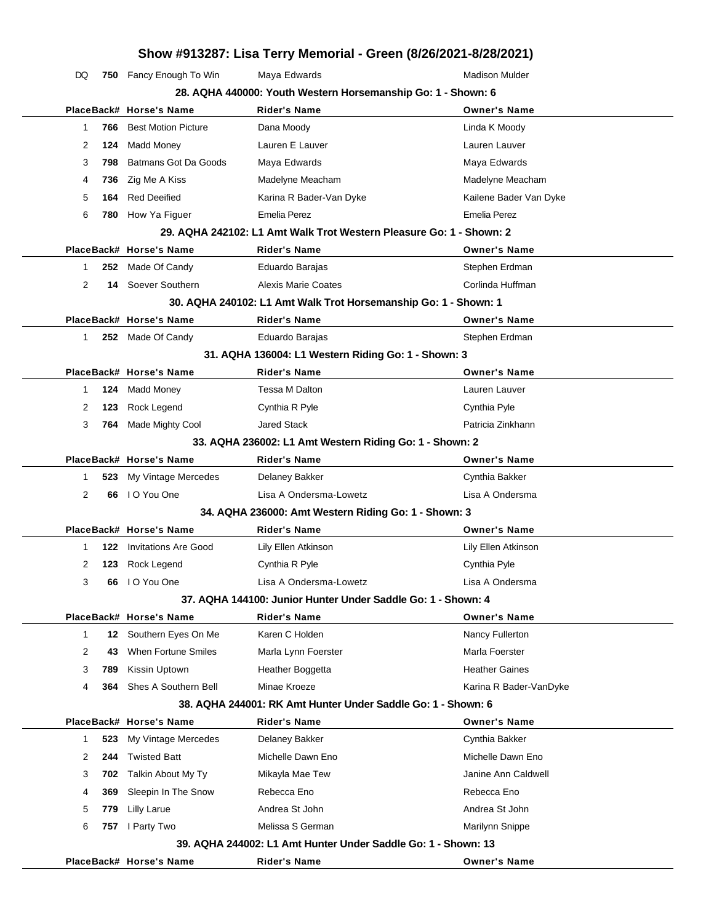DQ 750 Fancy Enough To Win Maya Edwards Mathon Mulder Madison Mulder **28. AQHA 440000: Youth Western Horsemanship Go: 1 - Shown: 6**

|                       | PlaceBack# Horse's Name    | 28. AQHA 440000: Youth Western Horsemanship Go: 1 - Shown: 6<br><b>Rider's Name</b> | <b>Owner's Name</b>    |
|-----------------------|----------------------------|-------------------------------------------------------------------------------------|------------------------|
| 1<br>766              | <b>Best Motion Picture</b> | Dana Moody                                                                          | Linda K Moody          |
| 2<br>124              | <b>Madd Money</b>          | Lauren E Lauver                                                                     | Lauren Lauver          |
| 3<br>798              | Batmans Got Da Goods       | Maya Edwards                                                                        | Maya Edwards           |
| 736<br>4              | Zig Me A Kiss              | Madelyne Meacham                                                                    | Madelyne Meacham       |
| 5<br>164              | <b>Red Deeified</b>        | Karina R Bader-Van Dyke                                                             | Kailene Bader Van Dyke |
| 6                     | 780 How Ya Figuer          | Emelia Perez                                                                        | Emelia Perez           |
|                       |                            | 29. AQHA 242102: L1 Amt Walk Trot Western Pleasure Go: 1 - Shown: 2                 |                        |
|                       | PlaceBack# Horse's Name    | <b>Rider's Name</b>                                                                 | <b>Owner's Name</b>    |
| 1                     | 252 Made Of Candy          | Eduardo Barajas                                                                     | Stephen Erdman         |
| 2                     | 14 Soever Southern         | Alexis Marie Coates                                                                 | Corlinda Huffman       |
|                       |                            | 30. AQHA 240102: L1 Amt Walk Trot Horsemanship Go: 1 - Shown: 1                     |                        |
|                       | PlaceBack# Horse's Name    | <b>Rider's Name</b>                                                                 | <b>Owner's Name</b>    |
| $\mathbf{1}$          | 252 Made Of Candy          | Eduardo Barajas                                                                     | Stephen Erdman         |
|                       |                            | 31. AQHA 136004: L1 Western Riding Go: 1 - Shown: 3                                 |                        |
|                       | PlaceBack# Horse's Name    | <b>Rider's Name</b>                                                                 | <b>Owner's Name</b>    |
| 124<br>$\mathbf{1}$   | <b>Madd Money</b>          | Tessa M Dalton                                                                      | Lauren Lauver          |
| 2<br>123              | Rock Legend                | Cynthia R Pyle                                                                      | Cynthia Pyle           |
| 3<br>764              | Made Mighty Cool           | <b>Jared Stack</b>                                                                  | Patricia Zinkhann      |
|                       |                            | 33. AQHA 236002: L1 Amt Western Riding Go: 1 - Shown: 2                             |                        |
|                       | PlaceBack# Horse's Name    | <b>Rider's Name</b>                                                                 | <b>Owner's Name</b>    |
| 1<br>523              | My Vintage Mercedes        | Delaney Bakker                                                                      | Cynthia Bakker         |
| $\overline{2}$<br>66  | I O You One                | Lisa A Ondersma-Lowetz                                                              | Lisa A Ondersma        |
|                       |                            | 34. AQHA 236000: Amt Western Riding Go: 1 - Shown: 3                                |                        |
|                       | PlaceBack# Horse's Name    | <b>Rider's Name</b>                                                                 | <b>Owner's Name</b>    |
| $\mathbf{1}$<br>122   | Invitations Are Good       | Lily Ellen Atkinson                                                                 | Lily Ellen Atkinson    |
| 2<br>123              | Rock Legend                | Cynthia R Pyle                                                                      | Cynthia Pyle           |
| 3<br>66               | I O You One                | Lisa A Ondersma-Lowetz                                                              | Lisa A Ondersma        |
|                       |                            | 37. AQHA 144100: Junior Hunter Under Saddle Go: 1 - Shown: 4                        |                        |
|                       | PlaceBack# Horse's Name    | <b>Rider's Name</b>                                                                 | <b>Owner's Name</b>    |
| $\mathbf 1$<br>12     | Southern Eyes On Me        | Karen C Holden                                                                      | Nancy Fullerton        |
| 2<br>43               | When Fortune Smiles        | Marla Lynn Foerster                                                                 | Marla Foerster         |
| 3<br>789              | Kissin Uptown              | Heather Boggetta                                                                    | <b>Heather Gaines</b>  |
| 4<br>364              | Shes A Southern Bell       | Minae Kroeze                                                                        | Karina R Bader-VanDyke |
|                       |                            | 38. AQHA 244001: RK Amt Hunter Under Saddle Go: 1 - Shown: 6                        |                        |
|                       | PlaceBack# Horse's Name    | <b>Rider's Name</b>                                                                 | <b>Owner's Name</b>    |
| 523<br>1              | My Vintage Mercedes        | Delaney Bakker                                                                      | Cynthia Bakker         |
| $\overline{2}$<br>244 | <b>Twisted Batt</b>        | Michelle Dawn Eno                                                                   | Michelle Dawn Eno      |
| 3<br>702              | Talkin About My Ty         | Mikayla Mae Tew                                                                     | Janine Ann Caldwell    |
| 369<br>4              | Sleepin In The Snow        | Rebecca Eno                                                                         | Rebecca Eno            |
| 5<br>779              | <b>Lilly Larue</b>         | Andrea St John                                                                      | Andrea St John         |
| 6<br>757              | I Party Two                | Melissa S German                                                                    | Marilynn Snippe        |
|                       |                            | 39. AQHA 244002: L1 Amt Hunter Under Saddle Go: 1 - Shown: 13                       |                        |
|                       | PlaceBack# Horse's Name    | <b>Rider's Name</b>                                                                 | <b>Owner's Name</b>    |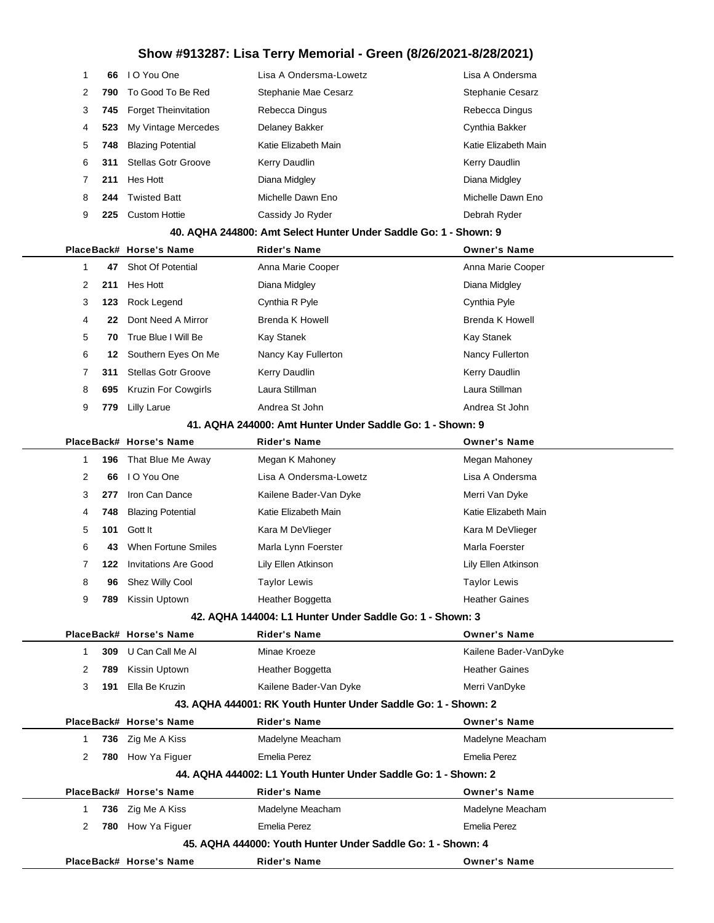| 1            | 66   | I O You One                 | Lisa A Ondersma-Lowetz                                           | Lisa A Ondersma         |
|--------------|------|-----------------------------|------------------------------------------------------------------|-------------------------|
| 2            | 790  | To Good To Be Red           | Stephanie Mae Cesarz                                             | <b>Stephanie Cesarz</b> |
| 3            | 745  | <b>Forget Theinvitation</b> | Rebecca Dingus                                                   | Rebecca Dingus          |
| 4            | 523  | My Vintage Mercedes         | Delaney Bakker                                                   | Cynthia Bakker          |
| 5            | 748  | <b>Blazing Potential</b>    | Katie Elizabeth Main                                             | Katie Elizabeth Main    |
| 6            | 311  | <b>Stellas Gotr Groove</b>  | Kerry Daudlin                                                    | Kerry Daudlin           |
| 7            | 211  | Hes Hott                    | Diana Midgley                                                    | Diana Midgley           |
| 8            | 244  | <b>Twisted Batt</b>         | Michelle Dawn Eno                                                | Michelle Dawn Eno       |
| 9            | 225  | <b>Custom Hottie</b>        | Cassidy Jo Ryder                                                 | Debrah Ryder            |
|              |      |                             | 40. AQHA 244800: Amt Select Hunter Under Saddle Go: 1 - Shown: 9 |                         |
|              |      | PlaceBack# Horse's Name     | <b>Rider's Name</b>                                              | <b>Owner's Name</b>     |
| 1            | 47   | Shot Of Potential           | Anna Marie Cooper                                                | Anna Marie Cooper       |
| 2            | 211  | Hes Hott                    | Diana Midgley                                                    | Diana Midgley           |
| 3            | 123  | Rock Legend                 | Cynthia R Pyle                                                   | Cynthia Pyle            |
| 4            | 22   | Dont Need A Mirror          | <b>Brenda K Howell</b>                                           | Brenda K Howell         |
| 5            | 70   | True Blue I Will Be         | Kay Stanek                                                       | <b>Kay Stanek</b>       |
| 6            | 12   | Southern Eyes On Me         | Nancy Kay Fullerton                                              | Nancy Fullerton         |
| 7            | 311  | <b>Stellas Gotr Groove</b>  | Kerry Daudlin                                                    | Kerry Daudlin           |
| 8            | 695  | <b>Kruzin For Cowgirls</b>  | Laura Stillman                                                   | Laura Stillman          |
| 9            | 779  | <b>Lilly Larue</b>          | Andrea St John                                                   | Andrea St John          |
|              |      |                             | 41. AQHA 244000: Amt Hunter Under Saddle Go: 1 - Shown: 9        |                         |
|              |      | PlaceBack# Horse's Name     | Rider's Name                                                     | <b>Owner's Name</b>     |
| 1            | 196  | That Blue Me Away           | Megan K Mahoney                                                  | Megan Mahoney           |
| 2            | 66   | I O You One                 | Lisa A Ondersma-Lowetz                                           | Lisa A Ondersma         |
| 3            | 277  | Iron Can Dance              | Kailene Bader-Van Dyke                                           | Merri Van Dyke          |
| 4            | 748  | <b>Blazing Potential</b>    | Katie Elizabeth Main                                             | Katie Elizabeth Main    |
| 5            | 101  | Gott It                     | Kara M DeVlieger                                                 | Kara M DeVlieger        |
| 6            | 43   | When Fortune Smiles         | Marla Lynn Foerster                                              | Marla Foerster          |
| 7            | 122. | <b>Invitations Are Good</b> | Lily Ellen Atkinson                                              | Lily Ellen Atkinson     |
| 8            |      | 96 Shez Willy Cool          | Taylor Lewis                                                     | <b>Taylor Lewis</b>     |
| 9            |      | 789 Kissin Uptown           | Heather Boggetta                                                 | <b>Heather Gaines</b>   |
|              |      |                             | 42. AQHA 144004: L1 Hunter Under Saddle Go: 1 - Shown: 3         |                         |
|              |      | PlaceBack# Horse's Name     | <b>Rider's Name</b>                                              | <b>Owner's Name</b>     |
| 1            | 309  | U Can Call Me Al            | Minae Kroeze                                                     | Kailene Bader-VanDyke   |
| 2            | 789  | Kissin Uptown               | Heather Boggetta                                                 | <b>Heather Gaines</b>   |
| 3            | 191  | Ella Be Kruzin              | Kailene Bader-Van Dyke                                           | Merri VanDyke           |
|              |      |                             | 43. AQHA 444001: RK Youth Hunter Under Saddle Go: 1 - Shown: 2   |                         |
|              |      | PlaceBack# Horse's Name     | <b>Rider's Name</b>                                              | <b>Owner's Name</b>     |
| $\mathbf{1}$ |      | 736 Zig Me A Kiss           | Madelyne Meacham                                                 | Madelyne Meacham        |
| 2            |      | 780 How Ya Figuer           | <b>Emelia Perez</b>                                              | Emelia Perez            |
|              |      |                             | 44. AQHA 444002: L1 Youth Hunter Under Saddle Go: 1 - Shown: 2   |                         |
|              |      | PlaceBack# Horse's Name     | <b>Rider's Name</b>                                              | <b>Owner's Name</b>     |
| $\mathbf{1}$ |      | 736 Zig Me A Kiss           | Madelyne Meacham                                                 | Madelyne Meacham        |
| 2            |      | 780 How Ya Figuer           | <b>Emelia Perez</b>                                              | Emelia Perez            |
|              |      |                             | 45. AQHA 444000: Youth Hunter Under Saddle Go: 1 - Shown: 4      |                         |
|              |      | PlaceBack# Horse's Name     | <b>Rider's Name</b>                                              | <b>Owner's Name</b>     |

l,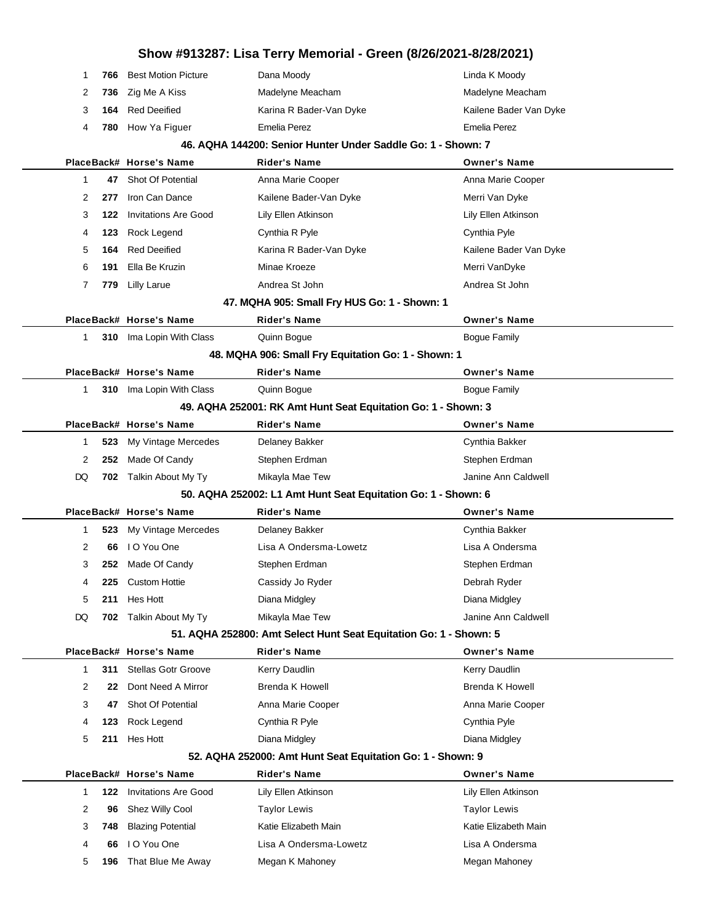## **Show #913287: Lisa Terry Memorial - Green (8/26/2021-8/28/2021)** 1 **766** Best Motion Picture **Dana Moody Linda K Moody** Linda K Moody 2 **736** Zig Me A Kiss **Madelyne Meacham** Madelyne Meacham Madelyne Meacham 3 **164** Red Deeified Karina R Bader-Van Dyke Kailene Bader Van Dyke 4 **780** How Ya Figuer Emelia Perez Emelia Perez **46. AQHA 144200: Senior Hunter Under Saddle Go: 1 - Shown: 7 PlaceBack# Horse's Name Rider's Name Owner's Name** 1 **47** Shot Of Potential **Anna Marie Cooper** Anna Marie Cooper Anna Marie Cooper 2 **277** Iron Can Dance Kailene Bader-Van Dyke Merri Van Dyke 3 **122** Invitations Are Good Lily Ellen Atkinson Lily Ellen Atkinson 4 **123** Rock Legend Cynthia R Pyle Cynthia Pyle 5 **164** Red Deeified Karina R Bader-Van Dyke Kailene Bader Van Dyke 6 **191** Ella Be Kruzin Minae Kroeze Merri VanDyke 7 **779** Lilly Larue **Andrea St John Andrea St John** Andrea St John **47. MQHA 905: Small Fry HUS Go: 1 - Shown: 1 PlaceBack# Horse's Name Rider's Name Owner's Name** 1 **310** Ima Lopin With Class Quinn Bogue **Communist Communist Communist Communist Communist Communist Communist Communist Communist Communist Communist Communist Communist Communist Communist Communist Communist Communist 48. MQHA 906: Small Fry Equitation Go: 1 - Shown: 1 PlaceBack# Horse's Name Rider's Name Owner's Name** 1 **310** Ima Lopin With Class **Quinn Bogue Community Bogue Family** Bogue Family **49. AQHA 252001: RK Amt Hunt Seat Equitation Go: 1 - Shown: 3 PlaceBack# Horse's Name Rider's Name Owner's Name** 1 **523** My Vintage Mercedes Delaney Bakker Cynthia Bakker Cynthia Bakker 2 252 Made Of Candy Stephen Erdman Stephen Erdman Stephen Erdman DQ **702** Talkin About My Ty Mikayla Mae Tew **Information Clube Anne Anne Caldwell 50. AQHA 252002: L1 Amt Hunt Seat Equitation Go: 1 - Shown: 6 PlaceBack# Horse's Name Rider's Name Owner's Name** 1 **523** My Vintage Mercedes Delaney Bakker Cynthia Bakker Cynthia Bakker 2 **66** I O You One Lisa A Ondersma-Lowetz Lisa A Ondersma 3 **252** Made Of Candy Stephen Erdman Stephen Erdman 4 **225** Custom Hottie **Cassidy Jo Ryder Cassidy Hotting Cassidy Construction Construction Clean Avenue Debrah Ryder** 5 **211** Hes Hott Diana Midgley Diana Midgley DQ 702 Talkin About My Ty Mikayla Mae Tew **Julie Anne Anne Anne Caldwell 51. AQHA 252800: Amt Select Hunt Seat Equitation Go: 1 - Shown: 5 PlaceBack# Horse's Name Rider's Name Owner's Name** 1 **311** Stellas Gotr Groove Kerry Daudlin Kerry Daudlin Kerry Daudlin 2 **22** Dont Need A Mirror Brenda K Howell Brenda K Howell Brenda K Howell 3 **47** Shot Of Potential **Anna Marie Cooper** Anna Marie Cooper Anna Marie Cooper 4 **123** Rock Legend Cynthia R Pyle Cynthia Pyle 5 **211** Hes Hott **Diana Midgley Communist Communist Communist Communist Communist Communist Communist Communist Communist Communist Communist Communist Communist Communist Communist Communist Communist Communist Communis 52. AQHA 252000: Amt Hunt Seat Equitation Go: 1 - Shown: 9 PlaceBack# Horse's Name Rider's Name Owner's Name** 1 **122** Invitations Are Good Lily Ellen Atkinson Lily Ellen Atkinson 2 **96** Shez Willy Cool **Taylor Lewis** Taylor Lewis Taylor Lewis Taylor Lewis 3 748 Blazing Potential Katie Elizabeth Main Katie Elizabeth Main Katie Elizabeth Main 4 **66** I O You One Lisa A Ondersma-Lowetz Lisa A Ondersma 5 **196** That Blue Me Away Megan K Mahoney Megan Megan Mahoney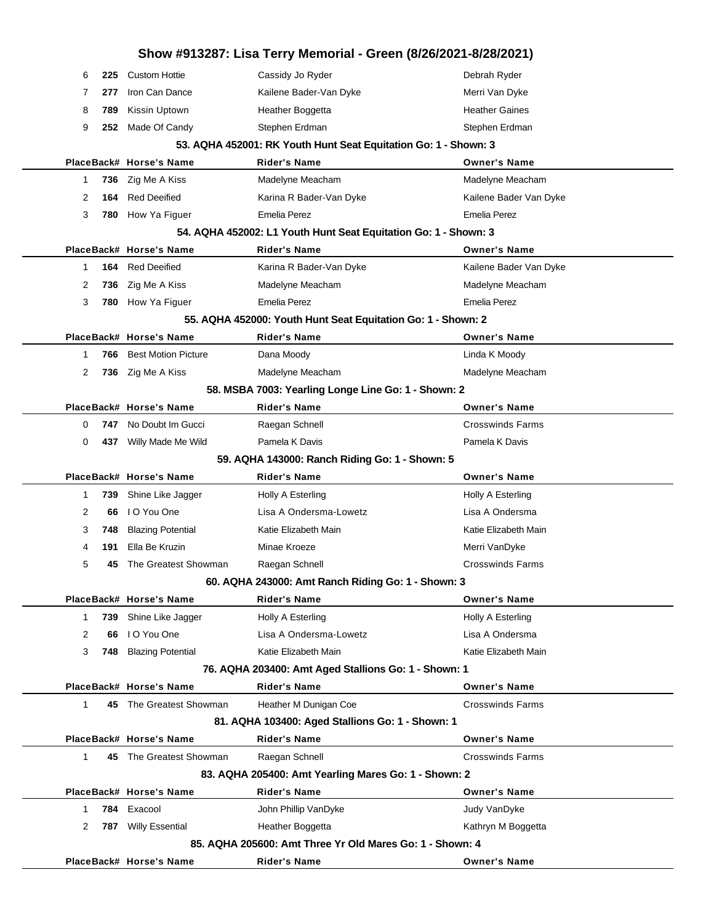| Show #913287: Lisa Terry Memorial - Green (8/26/2021-8/28/2021) |     |                            |                                                                 |                         |  |  |
|-----------------------------------------------------------------|-----|----------------------------|-----------------------------------------------------------------|-------------------------|--|--|
| 6                                                               | 225 | <b>Custom Hottie</b>       | Cassidy Jo Ryder                                                | Debrah Ryder            |  |  |
| 7                                                               | 277 | Iron Can Dance             | Kailene Bader-Van Dyke                                          | Merri Van Dyke          |  |  |
| 8                                                               | 789 | Kissin Uptown              | Heather Boggetta                                                | <b>Heather Gaines</b>   |  |  |
| 9                                                               | 252 | Made Of Candy              | Stephen Erdman                                                  | Stephen Erdman          |  |  |
|                                                                 |     |                            | 53. AQHA 452001: RK Youth Hunt Seat Equitation Go: 1 - Shown: 3 |                         |  |  |
|                                                                 |     | PlaceBack# Horse's Name    | <b>Rider's Name</b>                                             | <b>Owner's Name</b>     |  |  |
| 1                                                               | 736 | Zig Me A Kiss              | Madelyne Meacham                                                | Madelyne Meacham        |  |  |
| 2                                                               | 164 | <b>Red Deeified</b>        | Karina R Bader-Van Dyke                                         | Kailene Bader Van Dyke  |  |  |
| 3                                                               | 780 | How Ya Figuer              | Emelia Perez                                                    | <b>Emelia Perez</b>     |  |  |
|                                                                 |     |                            | 54. AQHA 452002: L1 Youth Hunt Seat Equitation Go: 1 - Shown: 3 |                         |  |  |
|                                                                 |     | PlaceBack# Horse's Name    | <b>Rider's Name</b>                                             | <b>Owner's Name</b>     |  |  |
| 1                                                               |     | 164 Red Deeified           | Karina R Bader-Van Dyke                                         | Kailene Bader Van Dyke  |  |  |
| 2                                                               | 736 | Zig Me A Kiss              | Madelyne Meacham                                                | Madelyne Meacham        |  |  |
| 3                                                               | 780 | How Ya Figuer              | <b>Emelia Perez</b>                                             | Emelia Perez            |  |  |
|                                                                 |     |                            | 55. AQHA 452000: Youth Hunt Seat Equitation Go: 1 - Shown: 2    |                         |  |  |
|                                                                 |     | PlaceBack# Horse's Name    | <b>Rider's Name</b>                                             | <b>Owner's Name</b>     |  |  |
| 1                                                               | 766 | <b>Best Motion Picture</b> | Dana Moody                                                      | Linda K Moody           |  |  |
| 2                                                               |     | 736 Zig Me A Kiss          | Madelyne Meacham                                                | Madelyne Meacham        |  |  |
|                                                                 |     |                            | 58. MSBA 7003: Yearling Longe Line Go: 1 - Shown: 2             |                         |  |  |
|                                                                 |     | PlaceBack# Horse's Name    | <b>Rider's Name</b>                                             | <b>Owner's Name</b>     |  |  |
| 0                                                               |     | 747 No Doubt Im Gucci      | Raegan Schnell                                                  | <b>Crosswinds Farms</b> |  |  |
| 0                                                               | 437 | Willy Made Me Wild         | Pamela K Davis                                                  | Pamela K Davis          |  |  |
|                                                                 |     |                            | 59. AQHA 143000: Ranch Riding Go: 1 - Shown: 5                  |                         |  |  |
|                                                                 |     | PlaceBack# Horse's Name    | Rider's Name                                                    | <b>Owner's Name</b>     |  |  |
| 1                                                               | 739 | Shine Like Jagger          | Holly A Esterling                                               | Holly A Esterling       |  |  |
| 2                                                               | 66  | I O You One                | Lisa A Ondersma-Lowetz                                          | Lisa A Ondersma         |  |  |
| 3                                                               | 748 | <b>Blazing Potential</b>   | Katie Elizabeth Main                                            | Katie Elizabeth Main    |  |  |
| 4                                                               | 191 | Ella Be Kruzin             | Minae Kroeze                                                    | Merri VanDyke           |  |  |
| 5                                                               | 45  | The Greatest Showman       | Raegan Schnell                                                  | Crosswinds Farms        |  |  |
|                                                                 |     |                            | 60. AQHA 243000: Amt Ranch Riding Go: 1 - Shown: 3              |                         |  |  |
|                                                                 |     | PlaceBack# Horse's Name    | <b>Rider's Name</b>                                             | <b>Owner's Name</b>     |  |  |
| 1                                                               | 739 | Shine Like Jagger          | Holly A Esterling                                               | Holly A Esterling       |  |  |
| 2                                                               | 66  | I O You One                | Lisa A Ondersma-Lowetz                                          | Lisa A Ondersma         |  |  |
| 3                                                               | 748 | <b>Blazing Potential</b>   | Katie Elizabeth Main                                            | Katie Elizabeth Main    |  |  |
|                                                                 |     |                            | 76. AQHA 203400: Amt Aged Stallions Go: 1 - Shown: 1            |                         |  |  |
|                                                                 |     | PlaceBack# Horse's Name    | <b>Rider's Name</b>                                             | <b>Owner's Name</b>     |  |  |
| $\mathbf{1}$                                                    |     | 45 The Greatest Showman    | Heather M Dunigan Coe                                           | <b>Crosswinds Farms</b> |  |  |
|                                                                 |     |                            | 81. AQHA 103400: Aged Stallions Go: 1 - Shown: 1                |                         |  |  |
|                                                                 |     | PlaceBack# Horse's Name    | <b>Rider's Name</b>                                             | <b>Owner's Name</b>     |  |  |
| $\mathbf{1}$                                                    |     | 45 The Greatest Showman    | Raegan Schnell                                                  | <b>Crosswinds Farms</b> |  |  |
|                                                                 |     |                            | 83. AQHA 205400: Amt Yearling Mares Go: 1 - Shown: 2            |                         |  |  |
|                                                                 |     | PlaceBack# Horse's Name    | <b>Rider's Name</b>                                             | <b>Owner's Name</b>     |  |  |
| 1                                                               |     | 784 Exacool                | John Phillip VanDyke                                            | Judy VanDyke            |  |  |
| 2                                                               |     | 787 Willy Essential        | Heather Boggetta                                                | Kathryn M Boggetta      |  |  |
|                                                                 |     |                            | 85. AQHA 205600: Amt Three Yr Old Mares Go: 1 - Shown: 4        |                         |  |  |
|                                                                 |     | PlaceBack# Horse's Name    | Rider's Name                                                    | <b>Owner's Name</b>     |  |  |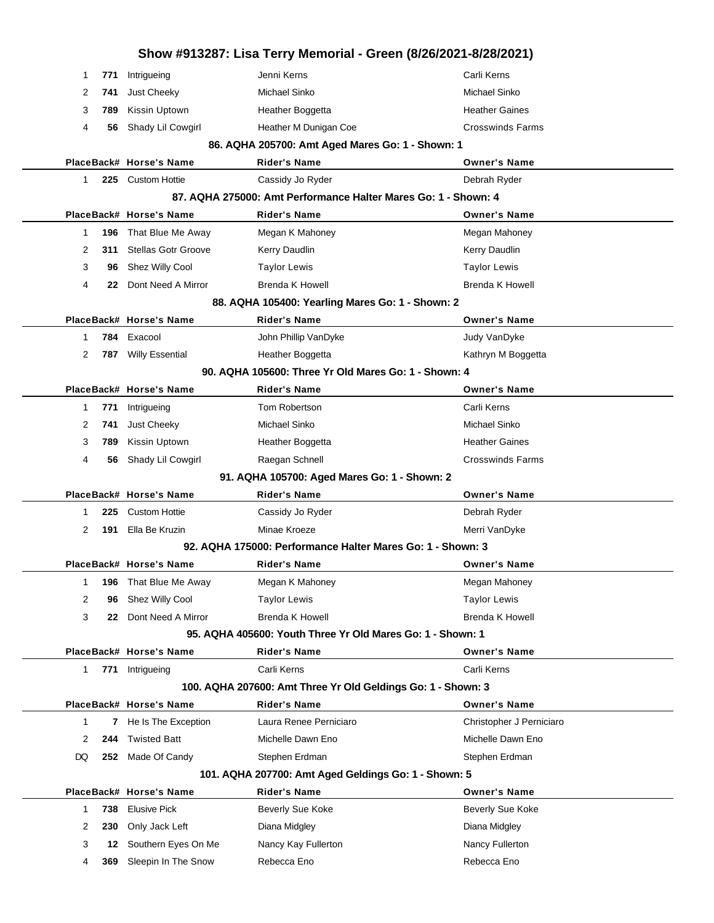|    |             |                            | Show #913287: Lisa Terry Memorial - Green (8/26/2021-8/28/2021) |                          |  |
|----|-------------|----------------------------|-----------------------------------------------------------------|--------------------------|--|
|    | 771<br>1    | Intrigueing                | Jenni Kerns                                                     | Carli Kerns              |  |
|    | 2<br>741    | Just Cheeky                | Michael Sinko                                                   | Michael Sinko            |  |
|    | 3<br>789    | Kissin Uptown              | Heather Boggetta                                                | <b>Heather Gaines</b>    |  |
|    | 4<br>56     | Shady Lil Cowgirl          | Heather M Dunigan Coe                                           | <b>Crosswinds Farms</b>  |  |
|    |             |                            | 86. AQHA 205700: Amt Aged Mares Go: 1 - Shown: 1                |                          |  |
|    |             | PlaceBack# Horse's Name    | <b>Rider's Name</b>                                             | <b>Owner's Name</b>      |  |
|    | 1           | 225 Custom Hottie          | Cassidy Jo Ryder                                                | Debrah Ryder             |  |
|    |             |                            | 87. AQHA 275000: Amt Performance Halter Mares Go: 1 - Shown: 4  |                          |  |
|    |             | PlaceBack# Horse's Name    | <b>Rider's Name</b>                                             | <b>Owner's Name</b>      |  |
|    | 1<br>196    | That Blue Me Away          | Megan K Mahoney                                                 | Megan Mahoney            |  |
|    | 2<br>311    | <b>Stellas Gotr Groove</b> | Kerry Daudlin                                                   | Kerry Daudlin            |  |
|    | 3<br>96     | Shez Willy Cool            | <b>Taylor Lewis</b>                                             | <b>Taylor Lewis</b>      |  |
|    | 4<br>22     | Dont Need A Mirror         | Brenda K Howell                                                 | Brenda K Howell          |  |
|    |             |                            | 88. AQHA 105400: Yearling Mares Go: 1 - Shown: 2                |                          |  |
|    |             | PlaceBack# Horse's Name    | <b>Rider's Name</b>                                             | <b>Owner's Name</b>      |  |
|    | 784<br>1    | Exacool                    | John Phillip VanDyke                                            | Judy VanDyke             |  |
|    | 2<br>787    | <b>Willy Essential</b>     | Heather Boggetta                                                | Kathryn M Boggetta       |  |
|    |             |                            | 90. AQHA 105600: Three Yr Old Mares Go: 1 - Shown: 4            |                          |  |
|    |             | PlaceBack# Horse's Name    | <b>Rider's Name</b>                                             | <b>Owner's Name</b>      |  |
|    | 771<br>1    | Intrigueing                | Tom Robertson                                                   | Carli Kerns              |  |
|    | 2<br>741    | Just Cheeky                | Michael Sinko                                                   | Michael Sinko            |  |
|    | 3<br>789    | Kissin Uptown              | Heather Boggetta                                                | <b>Heather Gaines</b>    |  |
|    | 4<br>56     | Shady Lil Cowgirl          | Raegan Schnell                                                  | <b>Crosswinds Farms</b>  |  |
|    |             |                            | 91. AQHA 105700: Aged Mares Go: 1 - Shown: 2                    |                          |  |
|    |             | PlaceBack# Horse's Name    | <b>Rider's Name</b>                                             | <b>Owner's Name</b>      |  |
|    | 1<br>225    | <b>Custom Hottie</b>       | Cassidy Jo Ryder                                                | Debrah Ryder             |  |
|    | 2<br>191    | Ella Be Kruzin             | Minae Kroeze                                                    | Merri VanDyke            |  |
|    |             |                            | 92. AQHA 175000: Performance Halter Mares Go: 1 - Shown: 3      |                          |  |
|    |             | PlaceBack# Horse's Name    | <b>Rider's Name</b>                                             | <b>Owner's Name</b>      |  |
|    | 1<br>196    | That Blue Me Away          | Megan K Mahoney                                                 | Megan Mahoney            |  |
|    | 2<br>96     | Shez Willy Cool            | Taylor Lewis                                                    | <b>Taylor Lewis</b>      |  |
|    | 3<br>22.    | Dont Need A Mirror         | <b>Brenda K Howell</b>                                          | Brenda K Howell          |  |
|    |             |                            | 95. AQHA 405600: Youth Three Yr Old Mares Go: 1 - Shown: 1      |                          |  |
|    |             | PlaceBack# Horse's Name    | Rider's Name                                                    | <b>Owner's Name</b>      |  |
|    | $\mathbf 1$ | 771 Intrigueing            | Carli Kerns                                                     | Carli Kerns              |  |
|    |             |                            | 100. AQHA 207600: Amt Three Yr Old Geldings Go: 1 - Shown: 3    |                          |  |
|    |             | PlaceBack# Horse's Name    | <b>Rider's Name</b>                                             | <b>Owner's Name</b>      |  |
|    | 1           | 7 He Is The Exception      | Laura Renee Perniciaro                                          | Christopher J Perniciaro |  |
|    | 2<br>244    | <b>Twisted Batt</b>        | Michelle Dawn Eno                                               | Michelle Dawn Eno        |  |
| DQ |             | 252 Made Of Candy          | Stephen Erdman                                                  | Stephen Erdman           |  |
|    |             |                            | 101. AQHA 207700: Amt Aged Geldings Go: 1 - Shown: 5            |                          |  |
|    |             | PlaceBack# Horse's Name    | Rider's Name                                                    | <b>Owner's Name</b>      |  |
|    | 738<br>1    | <b>Elusive Pick</b>        | Beverly Sue Koke                                                | Beverly Sue Koke         |  |
|    | 2<br>230    | Only Jack Left             | Diana Midgley                                                   | Diana Midgley            |  |
|    | 3<br>12     | Southern Eyes On Me        | Nancy Kay Fullerton                                             | Nancy Fullerton          |  |
|    | 4<br>369    | Sleepin In The Snow        | Rebecca Eno                                                     | Rebecca Eno              |  |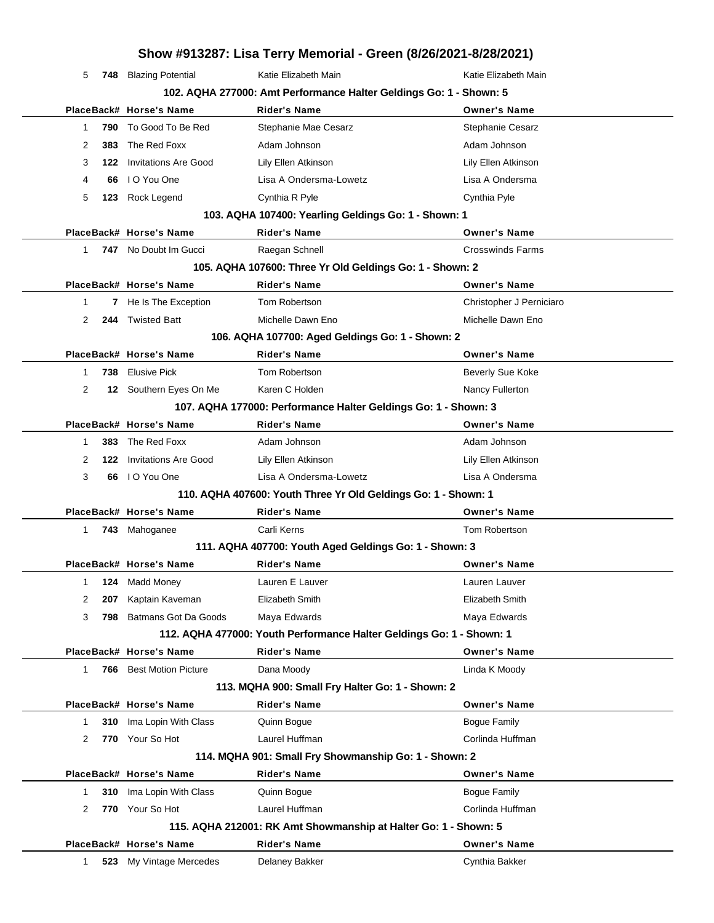## **Show #913287: Lisa Terry Memorial - Green (8/26/2021-8/28/2021)** 5 **748** Blazing Potential Katie Elizabeth Main Katie Elizabeth Main **102. AQHA 277000: Amt Performance Halter Geldings Go: 1 - Shown: 5 PlaceBack# Horse's Name Rider's Name Owner's Name** 1 **790** To Good To Be Red Stephanie Mae Cesarz **Stephanie Cesarz** Stephanie Cesarz 2 **383** The Red Foxx **Adam Johnson** Adam Interventional Adam Johnson 3 **122** Invitations Are Good Lily Ellen Atkinson Lily Ellen Atkinson 4 **66** I O You One Lisa A Ondersma-Lowetz Lisa A Ondersma 5 **123** Rock Legend Cynthia R Pyle Cynthia Pyle **103. AQHA 107400: Yearling Geldings Go: 1 - Shown: 1 PlaceBack# Horse's Name Rider's Name Owner's Name** 1 **747** No Doubt Im Gucci **Raegan Schnell** Crosswinds Farms **105. AQHA 107600: Three Yr Old Geldings Go: 1 - Shown: 2 PlaceBack# Horse's Name Rider's Name Owner's Name** 1 **7** He Is The Exception Tom Robertson **The Islamic Christopher J Perniciaro** Christopher J Perniciaro 2 **244** Twisted Batt Michelle Dawn Eno Michelle Dawn Eno **106. AQHA 107700: Aged Geldings Go: 1 - Shown: 2 PlaceBack# Horse's Name Rider's Name Owner's Name** 1 **738** Elusive Pick **Tom Robertson Beverly Sue Koke** 2 **12** Southern Eyes On Me Karen C Holden Nancy Fullerton Nancy Fullerton **107. AQHA 177000: Performance Halter Geldings Go: 1 - Shown: 3 PlaceBack# Horse's Name Rider's Name Owner's Name** 1 **383** The Red Foxx **Adam Johnson** Adam Johnson Adam Johnson 2 **122** Invitations Are Good Lily Ellen Atkinson Lily Ellen Atkinson 3 **66** I O You One Lisa A Ondersma-Lowetz Lisa A Ondersma **110. AQHA 407600: Youth Three Yr Old Geldings Go: 1 - Shown: 1 PlaceBack# Horse's Name Rider's Name Owner's Name** 1 **743** Mahoganee **Carli Kerns** Carli Carli Kerns Tom Robertson **111. AQHA 407700: Youth Aged Geldings Go: 1 - Shown: 3 PlaceBack# Horse's Name Rider's Name Owner's Name** 1 **124** Madd Money Lauren E Lauver Lauren Lauver 2 **207** Kaptain Kaveman Elizabeth Smith Elizabeth Smith 3 **798** Batmans Got Da Goods Maya Edwards Maya Edwards **112. AQHA 477000: Youth Performance Halter Geldings Go: 1 - Shown: 1 PlaceBack# Horse's Name Rider's Name Owner's Name** 1 **766** Best Motion Picture **Dana Moody Communist Communist Communist Communist Communist Communist Communist Communist Communist Communist Communist Communist Communist Communist Communist Communist Communist Communist 113. MQHA 900: Small Fry Halter Go: 1 - Shown: 2 PlaceBack# Horse's Name Rider's Name Owner's Name** 1 **310** Ima Lopin With Class Quinn Bogue **Came Communist Communist Communist Communist Communist Communist Communist Communist Communist Communist Communist Communist Communist Communist Communist Communist Communist Commu** 2 770 Your So Hot Laurel Huffman Corlinda Huffman Corlinda Huffman **114. MQHA 901: Small Fry Showmanship Go: 1 - Shown: 2 PlaceBack# Horse's Name Rider's Name Owner's Name** 1 **310** Ima Lopin With Class **Quinn Bogue Access Cuinn Bogue Family** 2 770 Your So Hot Laurel Huffman **Corlinda Huffman** Corlinda Huffman **115. AQHA 212001: RK Amt Showmanship at Halter Go: 1 - Shown: 5 PlaceBack# Horse's Name Rider's Name Owner's Name** 1 **523** My Vintage Mercedes Delaney Bakker Cynthia Bakker Cynthia Bakker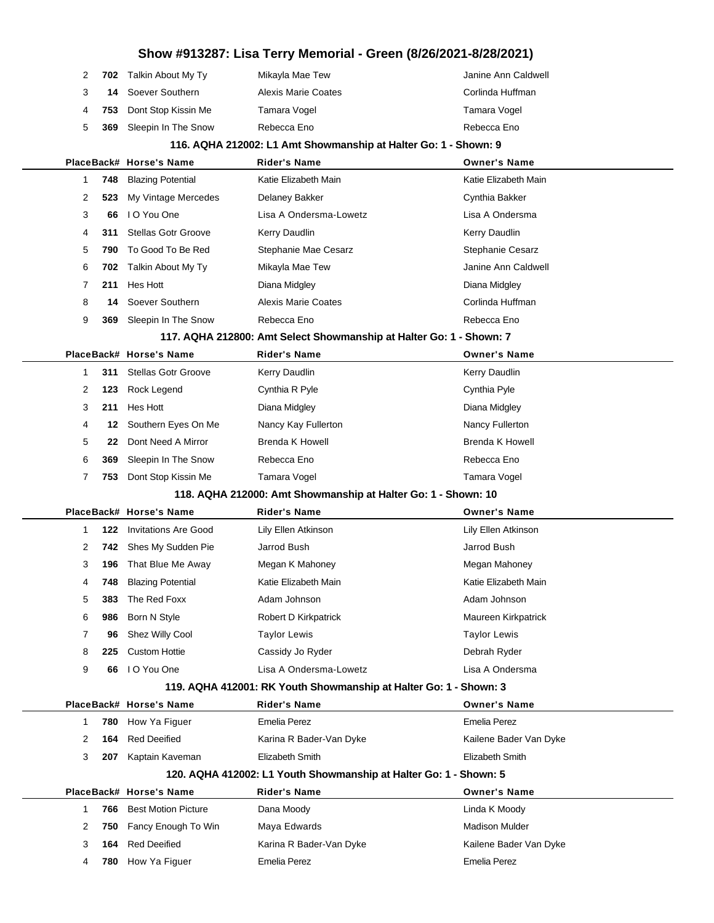|   | 2 702 Talkin About My Ty  | Mikayla Mae Tew            | Janine Ann Caldwell |
|---|---------------------------|----------------------------|---------------------|
| 3 | <b>14</b> Soever Southern | <b>Alexis Marie Coates</b> | Corlinda Huffman    |
|   | 4 753 Dont Stop Kissin Me | Tamara Vogel               | Tamara Vogel        |
|   | 5 369 Sleepin In The Snow | Rebecca Eno                | Rebecca Eno         |
|   |                           |                            |                     |

### **116. AQHA 212002: L1 Amt Showmanship at Halter Go: 1 - Shown: 9**

|                |     | PlaceBack# Horse's Name     | <b>Rider's Name</b>                                                 | <b>Owner's Name</b>    |
|----------------|-----|-----------------------------|---------------------------------------------------------------------|------------------------|
| 1              | 748 | <b>Blazing Potential</b>    | Katie Elizabeth Main                                                | Katie Elizabeth Main   |
| 2              | 523 | My Vintage Mercedes         | Delaney Bakker                                                      | Cynthia Bakker         |
| 3              | 66  | I O You One                 | Lisa A Ondersma-Lowetz                                              | Lisa A Ondersma        |
| 4              | 311 | <b>Stellas Gotr Groove</b>  | Kerry Daudlin                                                       | Kerry Daudlin          |
| 5              | 790 | To Good To Be Red           | Stephanie Mae Cesarz                                                | Stephanie Cesarz       |
| 6              | 702 | Talkin About My Ty          | Mikayla Mae Tew                                                     | Janine Ann Caldwell    |
| 7              | 211 | Hes Hott                    | Diana Midgley                                                       | Diana Midgley          |
| 8              | 14  | Soever Southern             | <b>Alexis Marie Coates</b>                                          | Corlinda Huffman       |
| 9              | 369 | Sleepin In The Snow         | Rebecca Eno                                                         | Rebecca Eno            |
|                |     |                             | 117. AQHA 212800: Amt Select Showmanship at Halter Go: 1 - Shown: 7 |                        |
|                |     | PlaceBack# Horse's Name     | <b>Rider's Name</b>                                                 | <b>Owner's Name</b>    |
| 1              | 311 | <b>Stellas Gotr Groove</b>  | Kerry Daudlin                                                       | <b>Kerry Daudlin</b>   |
| 2              | 123 | Rock Legend                 | Cynthia R Pyle                                                      | Cynthia Pyle           |
| 3              | 211 | Hes Hott                    | Diana Midgley                                                       | Diana Midgley          |
| 4              | 12  | Southern Eyes On Me         | Nancy Kay Fullerton                                                 | Nancy Fullerton        |
| 5              | 22  | Dont Need A Mirror          | <b>Brenda K Howell</b>                                              | <b>Brenda K Howell</b> |
| 6              | 369 | Sleepin In The Snow         | Rebecca Eno                                                         | Rebecca Eno            |
| 7              | 753 | Dont Stop Kissin Me         | Tamara Vogel                                                        | Tamara Vogel           |
|                |     |                             | 118. AQHA 212000: Amt Showmanship at Halter Go: 1 - Shown: 10       |                        |
|                |     | PlaceBack# Horse's Name     | <b>Rider's Name</b>                                                 | <b>Owner's Name</b>    |
| 1              | 122 | <b>Invitations Are Good</b> | Lily Ellen Atkinson                                                 | Lily Ellen Atkinson    |
| 2              | 742 | Shes My Sudden Pie          | Jarrod Bush                                                         | Jarrod Bush            |
| 3              | 196 | That Blue Me Away           | Megan K Mahoney                                                     | Megan Mahoney          |
| 4              | 748 | <b>Blazing Potential</b>    | Katie Elizabeth Main                                                | Katie Elizabeth Main   |
| 5              | 383 | The Red Foxx                | Adam Johnson                                                        | Adam Johnson           |
| 6              | 986 | Born N Style                | Robert D Kirkpatrick                                                | Maureen Kirkpatrick    |
| 7              | 96  | Shez Willy Cool             | <b>Taylor Lewis</b>                                                 | <b>Taylor Lewis</b>    |
| 8              | 225 | <b>Custom Hottie</b>        | Cassidy Jo Ryder                                                    | Debrah Ryder           |
| 9              | 66  | I O You One                 | Lisa A Ondersma-Lowetz                                              | Lisa A Ondersma        |
|                |     |                             | 119. AQHA 412001: RK Youth Showmanship at Halter Go: 1 - Shown: 3   |                        |
|                |     | PlaceBack# Horse's Name     | <b>Rider's Name</b>                                                 | <b>Owner's Name</b>    |
| 1              | 780 | How Ya Figuer               | Emelia Perez                                                        | <b>Emelia Perez</b>    |
| $\overline{2}$ | 164 | <b>Red Deeified</b>         | Karina R Bader-Van Dyke                                             | Kailene Bader Van Dyke |
| 3              |     | 207 Kaptain Kaveman         | <b>Elizabeth Smith</b>                                              | Elizabeth Smith        |
|                |     |                             | 120. AQHA 412002: L1 Youth Showmanship at Halter Go: 1 - Shown: 5   |                        |
|                |     | PlaceBack# Horse's Name     | Rider's Name                                                        | <b>Owner's Name</b>    |
| 1              | 766 | <b>Best Motion Picture</b>  | Dana Moody                                                          | Linda K Moody          |
| 2              | 750 | Fancy Enough To Win         | Maya Edwards                                                        | <b>Madison Mulder</b>  |
| 3              | 164 | <b>Red Deeified</b>         | Karina R Bader-Van Dyke                                             | Kailene Bader Van Dyke |
| 4              | 780 | How Ya Figuer               | <b>Emelia Perez</b>                                                 | <b>Emelia Perez</b>    |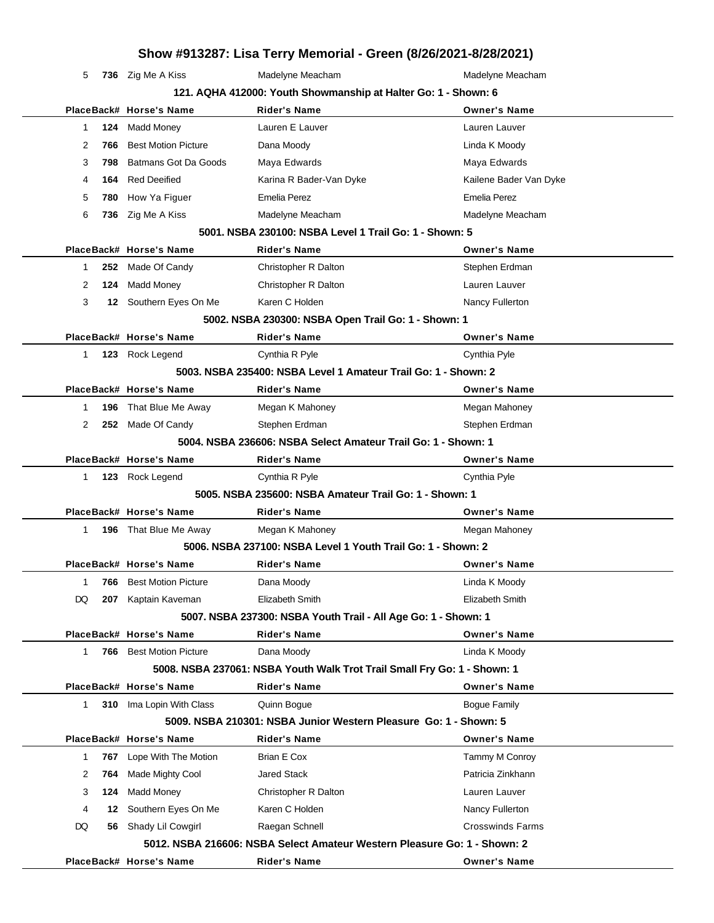| 5                                                              |     | 736 Zig Me A Kiss              | Madelyne Meacham                                                         | Madelyne Meacham        |  |  |  |
|----------------------------------------------------------------|-----|--------------------------------|--------------------------------------------------------------------------|-------------------------|--|--|--|
| 121. AQHA 412000: Youth Showmanship at Halter Go: 1 - Shown: 6 |     |                                |                                                                          |                         |  |  |  |
|                                                                |     | PlaceBack# Horse's Name        | <b>Rider's Name</b>                                                      | <b>Owner's Name</b>     |  |  |  |
| 1                                                              | 124 | Madd Money                     | Lauren E Lauver                                                          | Lauren Lauver           |  |  |  |
| 2                                                              | 766 | <b>Best Motion Picture</b>     | Dana Moody                                                               | Linda K Moody           |  |  |  |
| 3                                                              | 798 | Batmans Got Da Goods           | Maya Edwards                                                             | Maya Edwards            |  |  |  |
| 4                                                              | 164 | <b>Red Deeified</b>            | Karina R Bader-Van Dyke                                                  | Kailene Bader Van Dyke  |  |  |  |
| 5                                                              | 780 | How Ya Figuer                  | <b>Emelia Perez</b>                                                      | <b>Emelia Perez</b>     |  |  |  |
| 6                                                              | 736 | Zig Me A Kiss                  | Madelyne Meacham                                                         | Madelyne Meacham        |  |  |  |
|                                                                |     |                                | 5001, NSBA 230100: NSBA Level 1 Trail Go: 1 - Shown: 5                   |                         |  |  |  |
|                                                                |     | PlaceBack# Horse's Name        | <b>Rider's Name</b>                                                      | <b>Owner's Name</b>     |  |  |  |
| 1                                                              |     | 252 Made Of Candy              | Christopher R Dalton                                                     | Stephen Erdman          |  |  |  |
| 2                                                              | 124 | <b>Madd Money</b>              | Christopher R Dalton                                                     | Lauren Lauver           |  |  |  |
| 3                                                              |     | 12 Southern Eyes On Me         | Karen C Holden                                                           | Nancy Fullerton         |  |  |  |
|                                                                |     |                                | 5002. NSBA 230300: NSBA Open Trail Go: 1 - Shown: 1                      |                         |  |  |  |
|                                                                |     | PlaceBack# Horse's Name        | <b>Rider's Name</b>                                                      | <b>Owner's Name</b>     |  |  |  |
| $\mathbf{1}$                                                   |     | 123 Rock Legend                | Cynthia R Pyle                                                           | Cynthia Pyle            |  |  |  |
|                                                                |     |                                | 5003. NSBA 235400: NSBA Level 1 Amateur Trail Go: 1 - Shown: 2           |                         |  |  |  |
|                                                                |     | PlaceBack# Horse's Name        | <b>Rider's Name</b>                                                      | <b>Owner's Name</b>     |  |  |  |
| 1                                                              |     | <b>196</b> That Blue Me Away   | Megan K Mahoney                                                          | Megan Mahoney           |  |  |  |
| 2                                                              |     | 252 Made Of Candy              | Stephen Erdman                                                           | Stephen Erdman          |  |  |  |
|                                                                |     |                                | 5004. NSBA 236606: NSBA Select Amateur Trail Go: 1 - Shown: 1            |                         |  |  |  |
|                                                                |     | PlaceBack# Horse's Name        | <b>Rider's Name</b>                                                      | <b>Owner's Name</b>     |  |  |  |
| 1                                                              |     | 123 Rock Legend                | Cynthia R Pyle                                                           | Cynthia Pyle            |  |  |  |
|                                                                |     |                                | 5005, NSBA 235600: NSBA Amateur Trail Go: 1 - Shown: 1                   |                         |  |  |  |
|                                                                |     | PlaceBack# Horse's Name        | Rider's Name                                                             | <b>Owner's Name</b>     |  |  |  |
| $\mathbf 1$                                                    |     | 196 That Blue Me Away          | Megan K Mahoney                                                          | Megan Mahoney           |  |  |  |
|                                                                |     |                                | 5006. NSBA 237100: NSBA Level 1 Youth Trail Go: 1 - Shown: 2             |                         |  |  |  |
|                                                                |     | PlaceBack# Horse's Name        | <b>Rider's Name</b>                                                      | <b>Owner's Name</b>     |  |  |  |
| 1                                                              |     | <b>766</b> Best Motion Picture | Dana Moody                                                               | Linda K Moody           |  |  |  |
| DQ                                                             | 207 | Kaptain Kaveman                | Elizabeth Smith                                                          | Elizabeth Smith         |  |  |  |
|                                                                |     |                                | 5007. NSBA 237300: NSBA Youth Trail - All Age Go: 1 - Shown: 1           |                         |  |  |  |
|                                                                |     | PlaceBack# Horse's Name        | <b>Rider's Name</b>                                                      | <b>Owner's Name</b>     |  |  |  |
| $\mathbf{1}$                                                   |     | <b>766</b> Best Motion Picture | Dana Moody                                                               | Linda K Moody           |  |  |  |
|                                                                |     |                                | 5008. NSBA 237061: NSBA Youth Walk Trot Trail Small Fry Go: 1 - Shown: 1 |                         |  |  |  |
|                                                                |     | PlaceBack# Horse's Name        | <b>Rider's Name</b>                                                      | <b>Owner's Name</b>     |  |  |  |
| 1                                                              | 310 | Ima Lopin With Class           | Quinn Bogue                                                              | <b>Bogue Family</b>     |  |  |  |
|                                                                |     |                                | 5009. NSBA 210301: NSBA Junior Western Pleasure Go: 1 - Shown: 5         |                         |  |  |  |
|                                                                |     | PlaceBack# Horse's Name        | <b>Rider's Name</b>                                                      | <b>Owner's Name</b>     |  |  |  |
| 1                                                              | 767 | Lope With The Motion           | Brian E Cox                                                              | Tammy M Conroy          |  |  |  |
| 2                                                              | 764 | Made Mighty Cool               | <b>Jared Stack</b>                                                       | Patricia Zinkhann       |  |  |  |
| 3                                                              | 124 | <b>Madd Money</b>              | Christopher R Dalton                                                     | Lauren Lauver           |  |  |  |
| 4                                                              | 12  | Southern Eyes On Me            | Karen C Holden                                                           | Nancy Fullerton         |  |  |  |
| DQ                                                             | 56  | Shady Lil Cowgirl              | Raegan Schnell                                                           | <b>Crosswinds Farms</b> |  |  |  |

**5012. NSBA 216606: NSBA Select Amateur Western Pleasure Go: 1 - Shown: 2 PlaceBack# Horse's Name Rider's Name Owner's Name**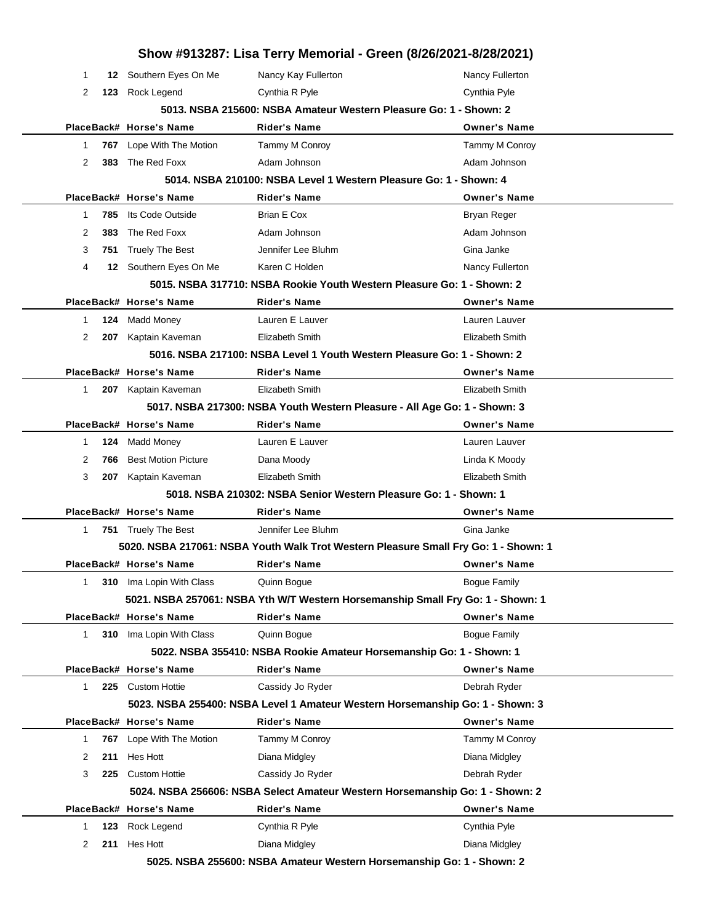|    |     |                                 | Show #913287: Lisa Terry Memorial - Green (8/26/2021-8/28/2021)                     |                     |
|----|-----|---------------------------------|-------------------------------------------------------------------------------------|---------------------|
| 1  |     | 12 Southern Eyes On Me          | Nancy Kay Fullerton                                                                 | Nancy Fullerton     |
| 2  | 123 | Rock Legend                     | Cynthia R Pyle                                                                      | Cynthia Pyle        |
|    |     |                                 | 5013. NSBA 215600: NSBA Amateur Western Pleasure Go: 1 - Shown: 2                   |                     |
|    |     | PlaceBack# Horse's Name         | Rider's Name                                                                        | <b>Owner's Name</b> |
| 1  |     | <b>767</b> Lope With The Motion | Tammy M Conroy                                                                      | Tammy M Conroy      |
| 2  | 383 | The Red Foxx                    | Adam Johnson                                                                        | Adam Johnson        |
|    |     |                                 | 5014. NSBA 210100: NSBA Level 1 Western Pleasure Go: 1 - Shown: 4                   |                     |
|    |     | PlaceBack# Horse's Name         | Rider's Name                                                                        | <b>Owner's Name</b> |
| 1  | 785 | Its Code Outside                | <b>Brian E Cox</b>                                                                  | <b>Bryan Reger</b>  |
| 2  | 383 | The Red Foxx                    | Adam Johnson                                                                        | Adam Johnson        |
| 3  |     | 751 Truely The Best             | Jennifer Lee Bluhm                                                                  | Gina Janke          |
| 4  |     | 12 Southern Eyes On Me          | Karen C Holden                                                                      | Nancy Fullerton     |
|    |     |                                 | 5015. NSBA 317710: NSBA Rookie Youth Western Pleasure Go: 1 - Shown: 2              |                     |
|    |     | PlaceBack# Horse's Name         | Rider's Name                                                                        | <b>Owner's Name</b> |
| 1  | 124 | <b>Madd Money</b>               | Lauren E Lauver                                                                     | Lauren Lauver       |
| 2  | 207 | Kaptain Kaveman                 | <b>Elizabeth Smith</b>                                                              | Elizabeth Smith     |
|    |     |                                 | 5016. NSBA 217100: NSBA Level 1 Youth Western Pleasure Go: 1 - Shown: 2             |                     |
|    |     | PlaceBack# Horse's Name         | <b>Rider's Name</b>                                                                 | <b>Owner's Name</b> |
| 1. |     | 207 Kaptain Kaveman             | Elizabeth Smith                                                                     | Elizabeth Smith     |
|    |     |                                 | 5017. NSBA 217300: NSBA Youth Western Pleasure - All Age Go: 1 - Shown: 3           |                     |
|    |     | PlaceBack# Horse's Name         | <b>Rider's Name</b>                                                                 | <b>Owner's Name</b> |
| 1  | 124 | Madd Money                      | Lauren E Lauver                                                                     | Lauren Lauver       |
| 2  | 766 | <b>Best Motion Picture</b>      | Dana Moody                                                                          | Linda K Moody       |
| 3  | 207 | Kaptain Kaveman                 | Elizabeth Smith                                                                     | Elizabeth Smith     |
|    |     |                                 | 5018. NSBA 210302: NSBA Senior Western Pleasure Go: 1 - Shown: 1                    |                     |
|    |     | PlaceBack# Horse's Name         | Rider's Name                                                                        | <b>Owner's Name</b> |
| 1  |     | 751 Truely The Best             | Jennifer Lee Bluhm                                                                  | Gina Janke          |
|    |     |                                 | 5020. NSBA 217061: NSBA Youth Walk Trot Western Pleasure Small Fry Go: 1 - Shown: 1 |                     |
|    |     | PlaceBack# Horse's Name         | <b>Rider's Name</b>                                                                 | <b>Owner's Name</b> |
| 1  | 310 | Ima Lopin With Class            | Quinn Bogue                                                                         | <b>Bogue Family</b> |
|    |     |                                 | 5021. NSBA 257061: NSBA Yth W/T Western Horsemanship Small Fry Go: 1 - Shown: 1     |                     |
|    |     | PlaceBack# Horse's Name         | <b>Rider's Name</b>                                                                 | <b>Owner's Name</b> |
| 1. | 310 | Ima Lopin With Class            | Quinn Bogue                                                                         | <b>Bogue Family</b> |
|    |     |                                 | 5022. NSBA 355410: NSBA Rookie Amateur Horsemanship Go: 1 - Shown: 1                |                     |
|    |     | PlaceBack# Horse's Name         | <b>Rider's Name</b>                                                                 | <b>Owner's Name</b> |
| 1  |     | 225 Custom Hottie               | Cassidy Jo Ryder                                                                    | Debrah Ryder        |
|    |     |                                 | 5023. NSBA 255400: NSBA Level 1 Amateur Western Horsemanship Go: 1 - Shown: 3       |                     |
|    |     | PlaceBack# Horse's Name         | <b>Rider's Name</b>                                                                 | <b>Owner's Name</b> |
| 1  | 767 | Lope With The Motion            | Tammy M Conroy                                                                      | Tammy M Conroy      |
| 2  | 211 | Hes Hott                        | Diana Midgley                                                                       | Diana Midgley       |
| 3  | 225 | <b>Custom Hottie</b>            | Cassidy Jo Ryder                                                                    | Debrah Ryder        |
|    |     |                                 | 5024. NSBA 256606: NSBA Select Amateur Western Horsemanship Go: 1 - Shown: 2        |                     |
|    |     | PlaceBack# Horse's Name         | <b>Rider's Name</b>                                                                 | <b>Owner's Name</b> |
| 1  | 123 | Rock Legend                     | Cynthia R Pyle                                                                      | Cynthia Pyle        |
| 2  | 211 | Hes Hott                        | Diana Midgley                                                                       | Diana Midgley       |
|    |     |                                 | 5025. NSBA 255600: NSBA Amateur Western Horsemanship Go: 1 - Shown: 2               |                     |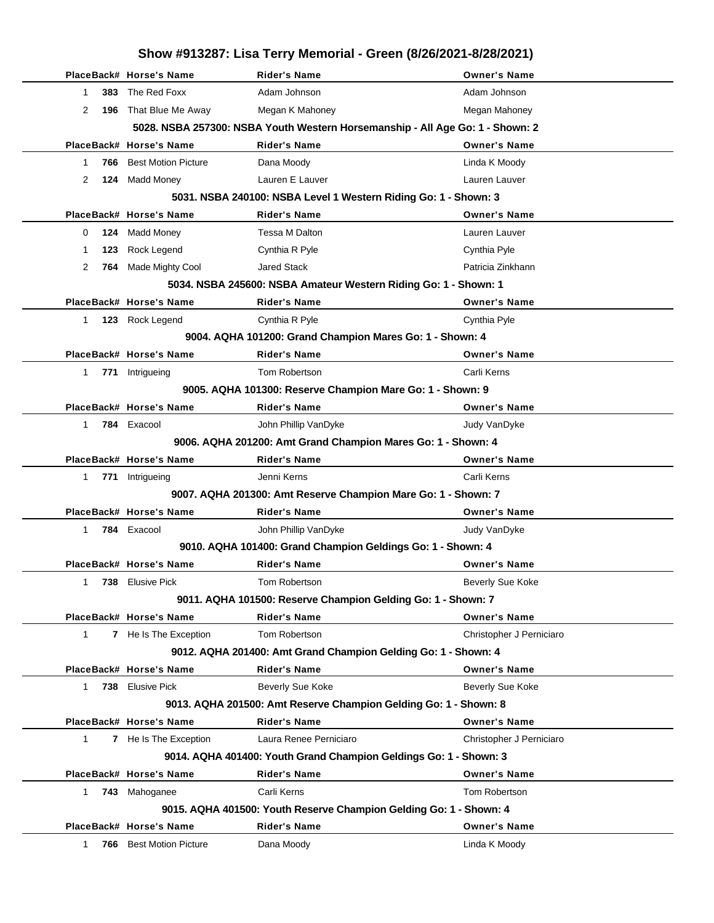|              | Show #913287: Lisa Terry Memorial - Green (8/26/2021-8/28/2021) |                                                              |                                                                               |                          |
|--------------|-----------------------------------------------------------------|--------------------------------------------------------------|-------------------------------------------------------------------------------|--------------------------|
|              |                                                                 | PlaceBack# Horse's Name                                      | <b>Rider's Name</b>                                                           | <b>Owner's Name</b>      |
| 1            |                                                                 | 383 The Red Foxx                                             | Adam Johnson                                                                  | Adam Johnson             |
| 2            | 196                                                             | That Blue Me Away                                            | Megan K Mahoney                                                               | Megan Mahoney            |
|              |                                                                 |                                                              | 5028. NSBA 257300: NSBA Youth Western Horsemanship - All Age Go: 1 - Shown: 2 |                          |
|              |                                                                 | PlaceBack# Horse's Name                                      | <b>Rider's Name</b>                                                           | <b>Owner's Name</b>      |
| 1            | 766                                                             | <b>Best Motion Picture</b>                                   | Dana Moody                                                                    | Linda K Moody            |
| 2            |                                                                 | 124 Madd Money                                               | Lauren E Lauver                                                               | Lauren Lauver            |
|              |                                                                 |                                                              | 5031. NSBA 240100: NSBA Level 1 Western Riding Go: 1 - Shown: 3               |                          |
|              |                                                                 | PlaceBack# Horse's Name                                      | <b>Rider's Name</b>                                                           | <b>Owner's Name</b>      |
| 0            | 124                                                             | Madd Money                                                   | Tessa M Dalton                                                                | Lauren Lauver            |
| 1            | 123                                                             | Rock Legend                                                  | Cynthia R Pyle                                                                | Cynthia Pyle             |
| 2            | 764                                                             | Made Mighty Cool                                             | <b>Jared Stack</b>                                                            | Patricia Zinkhann        |
|              |                                                                 |                                                              | 5034. NSBA 245600: NSBA Amateur Western Riding Go: 1 - Shown: 1               |                          |
|              |                                                                 | PlaceBack# Horse's Name                                      | <b>Rider's Name</b>                                                           | <b>Owner's Name</b>      |
| 1            |                                                                 | 123 Rock Legend                                              | Cynthia R Pyle                                                                | Cynthia Pyle             |
|              |                                                                 |                                                              | 9004. AQHA 101200: Grand Champion Mares Go: 1 - Shown: 4                      |                          |
|              |                                                                 | PlaceBack# Horse's Name                                      | <b>Rider's Name</b>                                                           | <b>Owner's Name</b>      |
| 1            |                                                                 | 771 Intrigueing                                              | Tom Robertson                                                                 | Carli Kerns              |
|              |                                                                 |                                                              | 9005. AQHA 101300: Reserve Champion Mare Go: 1 - Shown: 9                     |                          |
|              |                                                                 | PlaceBack# Horse's Name                                      | <b>Rider's Name</b>                                                           | <b>Owner's Name</b>      |
| $\mathbf 1$  |                                                                 | 784 Exacool                                                  | John Phillip VanDyke                                                          | Judy VanDyke             |
|              |                                                                 | 9006. AQHA 201200: Amt Grand Champion Mares Go: 1 - Shown: 4 |                                                                               |                          |
|              |                                                                 | PlaceBack# Horse's Name                                      | <b>Rider's Name</b>                                                           | <b>Owner's Name</b>      |
| 1            |                                                                 | 771 Intrigueing                                              | Jenni Kerns                                                                   | Carli Kerns              |
|              |                                                                 |                                                              | 9007. AQHA 201300: Amt Reserve Champion Mare Go: 1 - Shown: 7                 |                          |
|              |                                                                 | PlaceBack# Horse's Name                                      | <b>Rider's Name</b>                                                           | <b>Owner's Name</b>      |
| $\mathbf 1$  |                                                                 | 784 Exacool                                                  | John Phillip VanDyke                                                          | Judy VanDyke             |
|              |                                                                 |                                                              | 9010. AQHA 101400: Grand Champion Geldings Go: 1 - Shown: 4                   |                          |
|              |                                                                 | PlaceBack# Horse's Name                                      | Rider's Name                                                                  | Owner's Name             |
| 1            |                                                                 | 738 Elusive Pick                                             | Tom Robertson                                                                 | Beverly Sue Koke         |
|              |                                                                 |                                                              | 9011. AQHA 101500: Reserve Champion Gelding Go: 1 - Shown: 7                  |                          |
|              |                                                                 | PlaceBack# Horse's Name                                      | <b>Rider's Name</b>                                                           | <b>Owner's Name</b>      |
| 1            |                                                                 | 7 He Is The Exception                                        | Tom Robertson                                                                 | Christopher J Perniciaro |
|              |                                                                 |                                                              | 9012. AQHA 201400: Amt Grand Champion Gelding Go: 1 - Shown: 4                |                          |
|              |                                                                 | PlaceBack# Horse's Name                                      | <b>Rider's Name</b>                                                           | <b>Owner's Name</b>      |
| $\mathbf{1}$ |                                                                 | 738 Elusive Pick                                             | Beverly Sue Koke                                                              | Beverly Sue Koke         |
|              |                                                                 |                                                              | 9013. AQHA 201500: Amt Reserve Champion Gelding Go: 1 - Shown: 8              |                          |
|              |                                                                 | PlaceBack# Horse's Name                                      | <b>Rider's Name</b>                                                           | <b>Owner's Name</b>      |
| $\mathbf{1}$ |                                                                 | 7 He Is The Exception                                        | Laura Renee Perniciaro                                                        | Christopher J Perniciaro |
|              |                                                                 |                                                              | 9014. AQHA 401400: Youth Grand Champion Geldings Go: 1 - Shown: 3             |                          |
|              |                                                                 | PlaceBack# Horse's Name                                      | <b>Rider's Name</b>                                                           | <b>Owner's Name</b>      |
| $\mathbf{1}$ |                                                                 | 743 Mahoganee                                                | Carli Kerns                                                                   | Tom Robertson            |
|              |                                                                 |                                                              | 9015. AQHA 401500: Youth Reserve Champion Gelding Go: 1 - Shown: 4            |                          |
|              |                                                                 | PlaceBack# Horse's Name                                      | <b>Rider's Name</b>                                                           | <b>Owner's Name</b>      |
| 1            | 766                                                             | <b>Best Motion Picture</b>                                   | Dana Moody                                                                    | Linda K Moody            |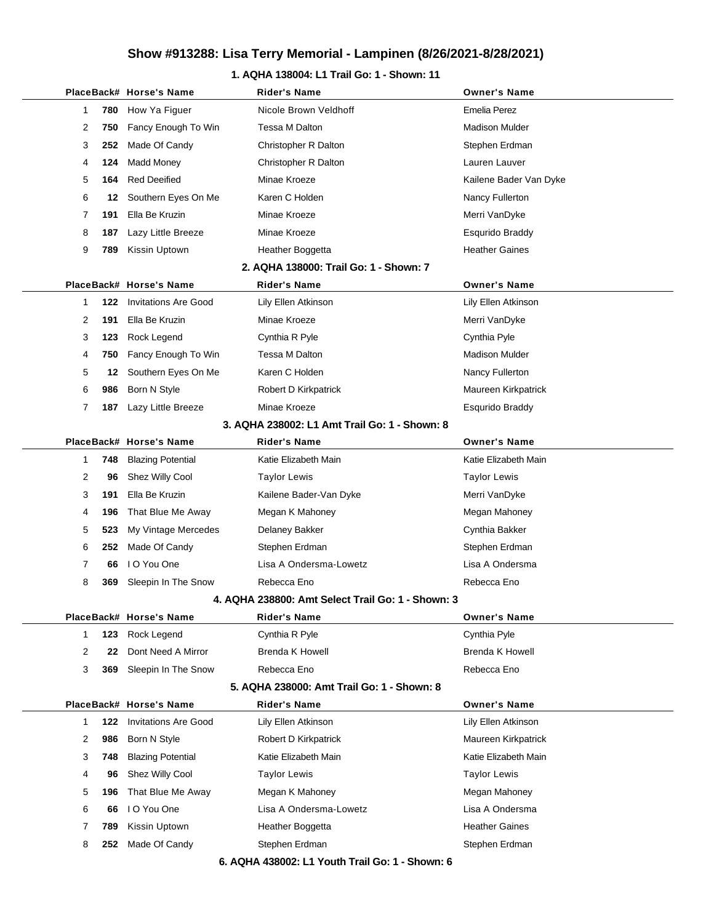### **1. AQHA 138004: L1 Trail Go: 1 - Shown: 11**

|              |     | PlaceBack# Horse's Name     | <b>Rider's Name</b>                               | <b>Owner's Name</b>    |
|--------------|-----|-----------------------------|---------------------------------------------------|------------------------|
| 1            | 780 | How Ya Figuer               | Nicole Brown Veldhoff                             | Emelia Perez           |
| 2            | 750 | Fancy Enough To Win         | Tessa M Dalton                                    | <b>Madison Mulder</b>  |
| 3            | 252 | Made Of Candy               | Christopher R Dalton                              | Stephen Erdman         |
| 4            | 124 | <b>Madd Money</b>           | Christopher R Dalton                              | Lauren Lauver          |
| 5            | 164 | <b>Red Deeified</b>         | Minae Kroeze                                      | Kailene Bader Van Dyke |
| 6            | 12  | Southern Eyes On Me         | Karen C Holden                                    | Nancy Fullerton        |
| 7            | 191 | Ella Be Kruzin              | Minae Kroeze                                      | Merri VanDyke          |
| 8            | 187 | Lazy Little Breeze          | Minae Kroeze                                      | <b>Esqurido Braddy</b> |
| 9            | 789 | Kissin Uptown               | Heather Boggetta                                  | <b>Heather Gaines</b>  |
|              |     |                             | 2. AQHA 138000: Trail Go: 1 - Shown: 7            |                        |
|              |     | PlaceBack# Horse's Name     | Rider's Name                                      | <b>Owner's Name</b>    |
| 1            | 122 | <b>Invitations Are Good</b> | Lily Ellen Atkinson                               | Lily Ellen Atkinson    |
| 2            | 191 | Ella Be Kruzin              | Minae Kroeze                                      | Merri VanDyke          |
| 3            | 123 | Rock Legend                 | Cynthia R Pyle                                    | Cynthia Pyle           |
| 4            | 750 | Fancy Enough To Win         | Tessa M Dalton                                    | <b>Madison Mulder</b>  |
| 5            | 12  | Southern Eyes On Me         | Karen C Holden                                    | Nancy Fullerton        |
| 6            | 986 | Born N Style                | Robert D Kirkpatrick                              | Maureen Kirkpatrick    |
| 7            | 187 | Lazy Little Breeze          | Minae Kroeze                                      | <b>Esqurido Braddy</b> |
|              |     |                             | 3. AQHA 238002: L1 Amt Trail Go: 1 - Shown: 8     |                        |
|              |     | PlaceBack# Horse's Name     | <b>Rider's Name</b>                               | <b>Owner's Name</b>    |
| 1            | 748 | <b>Blazing Potential</b>    | Katie Elizabeth Main                              | Katie Elizabeth Main   |
| 2            | 96  | Shez Willy Cool             | <b>Taylor Lewis</b>                               | <b>Taylor Lewis</b>    |
| 3            | 191 | Ella Be Kruzin              | Kailene Bader-Van Dyke                            | Merri VanDyke          |
| 4            | 196 | That Blue Me Away           | Megan K Mahoney                                   | Megan Mahoney          |
| 5            | 523 | My Vintage Mercedes         | Delaney Bakker                                    | Cynthia Bakker         |
| 6            | 252 | Made Of Candy               | Stephen Erdman                                    | Stephen Erdman         |
| 7            | 66  | I O You One                 | Lisa A Ondersma-Lowetz                            | Lisa A Ondersma        |
| 8            | 369 | Sleepin In The Snow         | Rebecca Eno                                       | Rebecca Eno            |
|              |     |                             | 4. AQHA 238800: Amt Select Trail Go: 1 - Shown: 3 |                        |
|              |     | PlaceBack# Horse's Name     | <b>Rider's Name</b>                               | <b>Owner's Name</b>    |
| $\mathbf{1}$ | 123 | Rock Legend                 | Cynthia R Pyle                                    | Cynthia Pyle           |
| 2            | 22  | Dont Need A Mirror          | <b>Brenda K Howell</b>                            | Brenda K Howell        |
| 3            | 369 | Sleepin In The Snow         | Rebecca Eno                                       | Rebecca Eno            |
|              |     |                             | 5. AQHA 238000: Amt Trail Go: 1 - Shown: 8        |                        |
|              |     | PlaceBack# Horse's Name     | <b>Rider's Name</b>                               | <b>Owner's Name</b>    |
| 1            | 122 | <b>Invitations Are Good</b> | Lily Ellen Atkinson                               | Lily Ellen Atkinson    |
| 2            | 986 | Born N Style                | Robert D Kirkpatrick                              | Maureen Kirkpatrick    |
| 3            | 748 | <b>Blazing Potential</b>    | Katie Elizabeth Main                              | Katie Elizabeth Main   |
| 4            | 96  | Shez Willy Cool             | <b>Taylor Lewis</b>                               | <b>Taylor Lewis</b>    |
| 5            | 196 | That Blue Me Away           | Megan K Mahoney                                   | Megan Mahoney          |
| 6            | 66  | I O You One                 | Lisa A Ondersma-Lowetz                            | Lisa A Ondersma        |
| 7            | 789 | Kissin Uptown               | Heather Boggetta                                  | <b>Heather Gaines</b>  |
| 8            | 252 | Made Of Candy               | Stephen Erdman                                    | Stephen Erdman         |

**6. AQHA 438002: L1 Youth Trail Go: 1 - Shown: 6**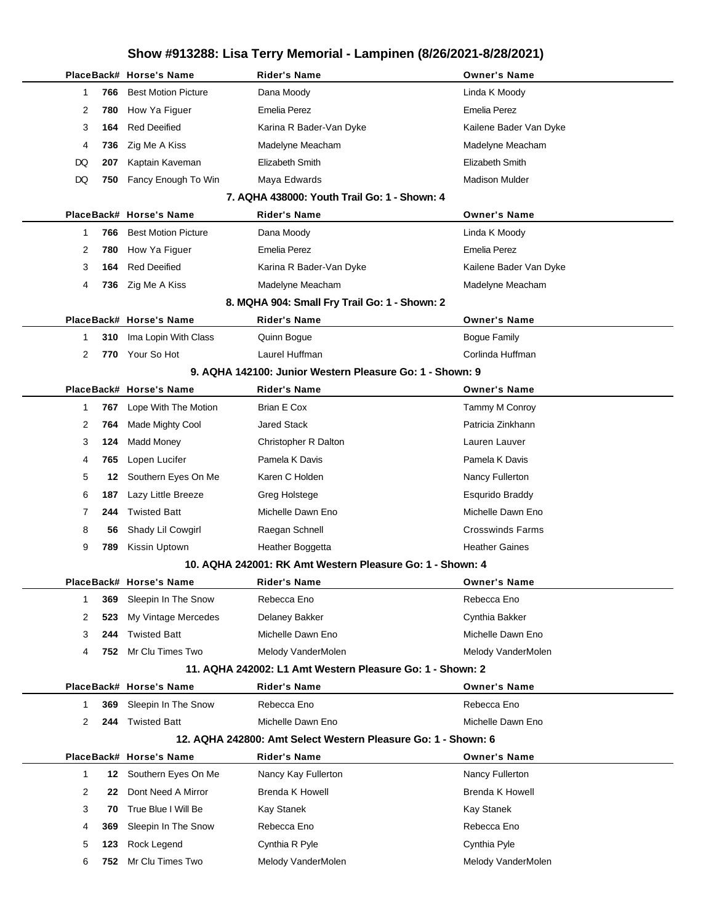|                    | PlaceBack# Horse's Name    | Rider's Name                                                  | <b>Owner's Name</b>     |
|--------------------|----------------------------|---------------------------------------------------------------|-------------------------|
| 766<br>1           | <b>Best Motion Picture</b> | Dana Moody                                                    | Linda K Moody           |
| 2<br>780           | How Ya Figuer              | <b>Emelia Perez</b>                                           | <b>Emelia Perez</b>     |
| 3<br>164           | <b>Red Deeified</b>        | Karina R Bader-Van Dyke                                       | Kailene Bader Van Dyke  |
| 4<br>736           | Zig Me A Kiss              | Madelyne Meacham                                              | Madelyne Meacham        |
| DQ<br>207          | Kaptain Kaveman            | Elizabeth Smith                                               | Elizabeth Smith         |
| DQ<br>750          | Fancy Enough To Win        | Maya Edwards                                                  | <b>Madison Mulder</b>   |
|                    |                            | 7. AQHA 438000: Youth Trail Go: 1 - Shown: 4                  |                         |
|                    | PlaceBack# Horse's Name    | Rider's Name                                                  | <b>Owner's Name</b>     |
| 766<br>1           | <b>Best Motion Picture</b> | Dana Moody                                                    | Linda K Moody           |
| 2<br>780           | How Ya Figuer              | <b>Emelia Perez</b>                                           | <b>Emelia Perez</b>     |
| 3<br>164           | <b>Red Deeified</b>        | Karina R Bader-Van Dyke                                       | Kailene Bader Van Dyke  |
| 4<br>736           | Zig Me A Kiss              | Madelyne Meacham                                              | Madelyne Meacham        |
|                    |                            | 8. MQHA 904: Small Fry Trail Go: 1 - Shown: 2                 |                         |
|                    | PlaceBack# Horse's Name    | <b>Rider's Name</b>                                           | <b>Owner's Name</b>     |
| 310<br>1           | Ima Lopin With Class       | Quinn Bogue                                                   | <b>Bogue Family</b>     |
| 2                  | 770 Your So Hot            | Laurel Huffman                                                | Corlinda Huffman        |
|                    |                            | 9. AQHA 142100: Junior Western Pleasure Go: 1 - Shown: 9      |                         |
|                    | PlaceBack# Horse's Name    | <b>Rider's Name</b>                                           | <b>Owner's Name</b>     |
| 767<br>1           | Lope With The Motion       | Brian E Cox                                                   | Tammy M Conroy          |
| 2<br>764           | Made Mighty Cool           | <b>Jared Stack</b>                                            | Patricia Zinkhann       |
| 3<br>124           | <b>Madd Money</b>          | Christopher R Dalton                                          | Lauren Lauver           |
| 4<br>765           | Lopen Lucifer              | Pamela K Davis                                                | Pamela K Davis          |
| 5<br>12            | Southern Eyes On Me        | Karen C Holden                                                | Nancy Fullerton         |
| 6<br>187           | Lazy Little Breeze         | Greg Holstege                                                 | Esqurido Braddy         |
| 7<br>244           | <b>Twisted Batt</b>        | Michelle Dawn Eno                                             | Michelle Dawn Eno       |
| 8<br>56            | Shady Lil Cowgirl          | Raegan Schnell                                                | <b>Crosswinds Farms</b> |
| 9<br>789           | Kissin Uptown              | Heather Boggetta                                              | <b>Heather Gaines</b>   |
|                    |                            | 10. AQHA 242001: RK Amt Western Pleasure Go: 1 - Shown: 4     |                         |
|                    | PlaceBack# Horse's Name    | Rider's Name                                                  | <b>Owner's Name</b>     |
| 1<br>369           | Sleepin In The Snow        | Rebecca Eno                                                   | Rebecca Eno             |
| 2<br>523           | My Vintage Mercedes        | Delaney Bakker                                                | Cynthia Bakker          |
| 3<br>244           | <b>Twisted Batt</b>        | Michelle Dawn Eno                                             | Michelle Dawn Eno       |
| 4<br>752.          | Mr Clu Times Two           | Melody VanderMolen                                            | Melody VanderMolen      |
|                    |                            | 11. AQHA 242002: L1 Amt Western Pleasure Go: 1 - Shown: 2     |                         |
|                    | PlaceBack# Horse's Name    | <b>Rider's Name</b>                                           | <b>Owner's Name</b>     |
| 369<br>1           | Sleepin In The Snow        | Rebecca Eno                                                   | Rebecca Eno             |
| 2<br>244           | <b>Twisted Batt</b>        | Michelle Dawn Eno                                             | Michelle Dawn Eno       |
|                    |                            | 12. AQHA 242800: Amt Select Western Pleasure Go: 1 - Shown: 6 |                         |
|                    | PlaceBack# Horse's Name    | Rider's Name                                                  | <b>Owner's Name</b>     |
| $\mathbf{1}$<br>12 | Southern Eyes On Me        | Nancy Kay Fullerton                                           | Nancy Fullerton         |
| 2<br>22            | Dont Need A Mirror         | <b>Brenda K Howell</b>                                        | <b>Brenda K Howell</b>  |
| 3<br>70            | True Blue I Will Be        | Kay Stanek                                                    | <b>Kay Stanek</b>       |
| 4<br>369           | Sleepin In The Snow        | Rebecca Eno                                                   | Rebecca Eno             |
| 5<br>123           | Rock Legend                | Cynthia R Pyle                                                | Cynthia Pyle            |
| 6<br>752.          | Mr Clu Times Two           | Melody VanderMolen                                            | Melody VanderMolen      |
|                    |                            |                                                               |                         |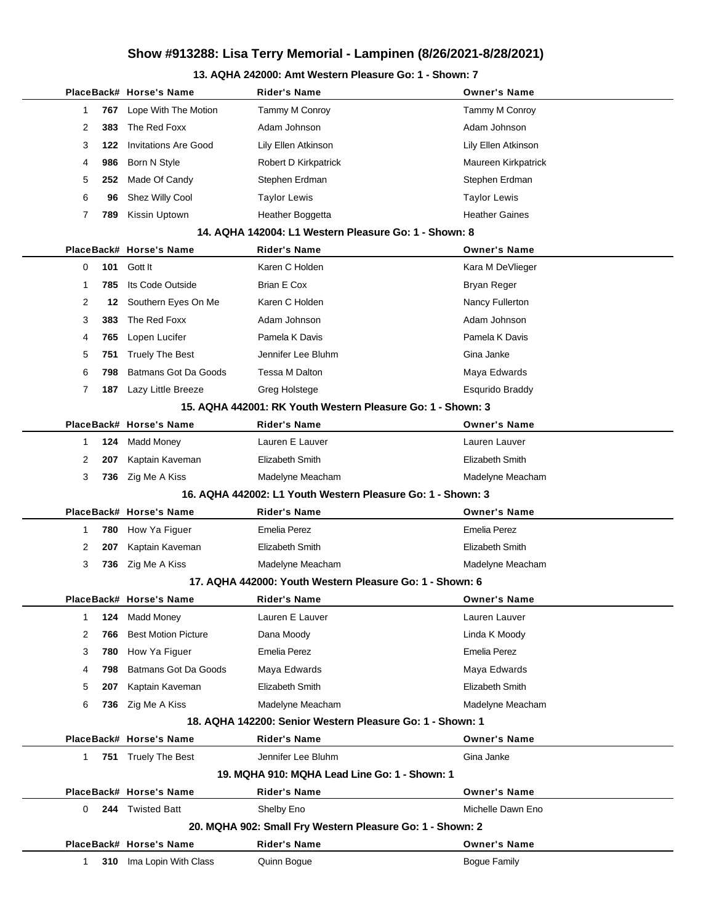### **13. AQHA 242000: Amt Western Pleasure Go: 1 - Shown: 7**

|   |     | PlaceBack# Horse's Name     | <b>Rider's Name</b>                                         | <b>Owner's Name</b>    |
|---|-----|-----------------------------|-------------------------------------------------------------|------------------------|
| 1 | 767 | Lope With The Motion        | Tammy M Conroy                                              | <b>Tammy M Conroy</b>  |
| 2 | 383 | The Red Foxx                | Adam Johnson                                                | Adam Johnson           |
| 3 | 122 | <b>Invitations Are Good</b> | Lily Ellen Atkinson                                         | Lily Ellen Atkinson    |
| 4 | 986 | Born N Style                | Robert D Kirkpatrick                                        | Maureen Kirkpatrick    |
| 5 | 252 | Made Of Candy               | Stephen Erdman                                              | Stephen Erdman         |
| 6 | 96  | Shez Willy Cool             | <b>Taylor Lewis</b>                                         | <b>Taylor Lewis</b>    |
| 7 | 789 | Kissin Uptown               | Heather Boggetta                                            | <b>Heather Gaines</b>  |
|   |     |                             | 14. AQHA 142004: L1 Western Pleasure Go: 1 - Shown: 8       |                        |
|   |     | PlaceBack# Horse's Name     | Rider's Name                                                | <b>Owner's Name</b>    |
| 0 | 101 | Gott It                     | Karen C Holden                                              | Kara M DeVlieger       |
| 1 | 785 | Its Code Outside            | Brian E Cox                                                 | Bryan Reger            |
| 2 | 12  | Southern Eyes On Me         | Karen C Holden                                              | Nancy Fullerton        |
| 3 | 383 | The Red Foxx                | Adam Johnson                                                | Adam Johnson           |
| 4 | 765 | Lopen Lucifer               | Pamela K Davis                                              | Pamela K Davis         |
| 5 | 751 | <b>Truely The Best</b>      | Jennifer Lee Bluhm                                          | Gina Janke             |
| 6 | 798 | <b>Batmans Got Da Goods</b> | Tessa M Dalton                                              | Maya Edwards           |
| 7 | 187 | Lazy Little Breeze          | Greg Holstege                                               | <b>Esqurido Braddy</b> |
|   |     |                             | 15. AQHA 442001: RK Youth Western Pleasure Go: 1 - Shown: 3 |                        |
|   |     | PlaceBack# Horse's Name     | Rider's Name                                                | <b>Owner's Name</b>    |
| 1 | 124 | <b>Madd Money</b>           | Lauren E Lauver                                             | Lauren Lauver          |
| 2 | 207 | Kaptain Kaveman             | Elizabeth Smith                                             | Elizabeth Smith        |
| 3 | 736 | Zig Me A Kiss               | Madelyne Meacham                                            | Madelyne Meacham       |
|   |     |                             | 16. AQHA 442002: L1 Youth Western Pleasure Go: 1 - Shown: 3 |                        |
|   |     | PlaceBack# Horse's Name     | Rider's Name                                                | <b>Owner's Name</b>    |
| 1 | 780 | How Ya Figuer               | <b>Emelia Perez</b>                                         | <b>Emelia Perez</b>    |
| 2 | 207 | Kaptain Kaveman             | Elizabeth Smith                                             | Elizabeth Smith        |
| 3 |     | 736 Zig Me A Kiss           | Madelyne Meacham                                            | Madelyne Meacham       |
|   |     |                             | 17. AQHA 442000: Youth Western Pleasure Go: 1 - Shown: 6    |                        |
|   |     | PlaceBack# Horse's Name     | Rider's Name                                                | <b>Owner's Name</b>    |
| 1 | 124 | Madd Money                  | Lauren E Lauver                                             | Lauren Lauver          |
| 2 | 766 | <b>Best Motion Picture</b>  | Dana Moody                                                  | Linda K Moody          |
| 3 | 780 | How Ya Figuer               | Emelia Perez                                                | <b>Emelia Perez</b>    |
| 4 | 798 | Batmans Got Da Goods        | Maya Edwards                                                | Maya Edwards           |
| 5 | 207 | Kaptain Kaveman             | Elizabeth Smith                                             | <b>Elizabeth Smith</b> |
| 6 | 736 | Zig Me A Kiss               | Madelyne Meacham                                            | Madelyne Meacham       |
|   |     |                             | 18. AQHA 142200: Senior Western Pleasure Go: 1 - Shown: 1   |                        |
|   |     | PlaceBack# Horse's Name     | <b>Rider's Name</b>                                         | <b>Owner's Name</b>    |
| 1 |     | 751 Truely The Best         | Jennifer Lee Bluhm                                          | Gina Janke             |
|   |     |                             | 19. MQHA 910: MQHA Lead Line Go: 1 - Shown: 1               |                        |
|   |     | PlaceBack# Horse's Name     | <b>Rider's Name</b>                                         | <b>Owner's Name</b>    |
| 0 |     | 244 Twisted Batt            | Shelby Eno                                                  | Michelle Dawn Eno      |
|   |     |                             | 20. MQHA 902: Small Fry Western Pleasure Go: 1 - Shown: 2   |                        |
|   |     | PlaceBack# Horse's Name     | <b>Rider's Name</b>                                         | <b>Owner's Name</b>    |
| 1 | 310 | Ima Lopin With Class        | Quinn Bogue                                                 | Bogue Family           |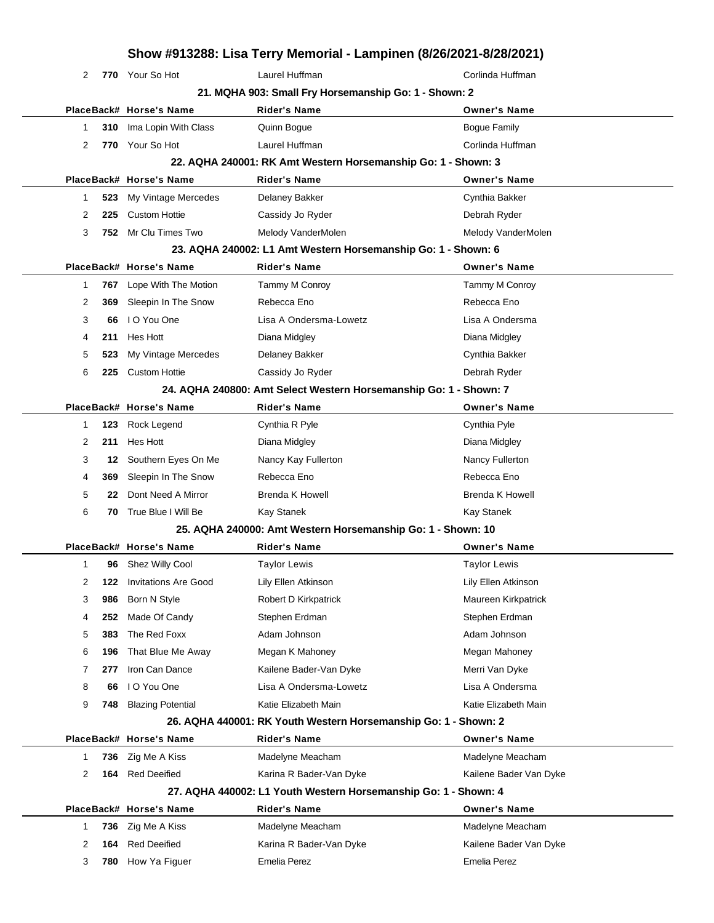## **Show #913288: Lisa Terry Memorial - Lampinen (8/26/2021-8/28/2021) 770** Your So Hot **Corlines Laurel Huffman** Corlines **Corlines Huffman 21. MQHA 903: Small Fry Horsemanship Go: 1 - Shown: 2 PlaceBack# Horse's Name Rider's Name Owner's Name 310** Ima Lopin With Class **Quinn Bogue Access Cuinn Bogue Family** 2 770 Your So Hot Laurel Huffman **Corlinda Huffman 22. AQHA 240001: RK Amt Western Horsemanship Go: 1 - Shown: 3 PlaceBack# Horse's Name Rider's Name Owner's Name 523** My Vintage Mercedes Delaney Bakker Cynthia Bakker Cynthia Bakker **225** Custom Hottie **Cassidy Jo Ryder** Cassidy Theorem Cassidy American Constanting Debrah Ryder 3 752 Mr Clu Times Two Melody VanderMolen Melody VanderMolen **23. AQHA 240002: L1 Amt Western Horsemanship Go: 1 - Shown: 6 PlaceBack# Horse's Name Rider's Name Owner's Name 767** Lope With The Motion Tammy M Conroy Tammy M Conroy **369** Sleepin In The Snow Rebecca Eno Rebecca Eno Rebecca Eno **66** I O You One Lisa A Ondersma-Lowetz Lisa A Ondersma **211** Hes Hott Diana Midgley Diana Midgley **523** My Vintage Mercedes Delaney Bakker Cynthia Bakker **225** Custom Hottie Cassidy Jo Ryder Debrah Ryder **24. AQHA 240800: Amt Select Western Horsemanship Go: 1 - Shown: 7 PlaceBack# Horse's Name Rider's Name Owner's Name 123** Rock Legend Cynthia R Pyle Cynthia Pyle **211** Hes Hott **Diana Midgley Communist Communist Communist Communist Communist Communist Communist Communist Communist Communist Communist Communist Communist Communist Communist Communist Communist Communist Communis 12 Southern Eyes On Me Mancy Kay Fullerton Nancy Fullerton Nancy Fullerton 369** Sleepin In The Snow Rebecca Eno Rebecca Eno Rebecca Eno **22** Dont Need A Mirror Brenda K Howell Brenda K Howell Brenda K Howell **70** True Blue I Will Be Kay Stanek Kay Stanek **25. AQHA 240000: Amt Western Horsemanship Go: 1 - Shown: 10 PlaceBack# Horse's Name Rider's Name Owner's Name 96** Shez Willy Cool **Taylor Lewis** Taylor Lewis Taylor Lewis Taylor Lewis **122** Invitations Are Good Lily Ellen Atkinson Lily Ellen Atkinson **986** Born N Style **Robert D Kirkpatrick** Maureen Kirkpatrick **252** Made Of Candy Stephen Erdman Stephen Erdman Stephen Erdman **383** The Red Foxx **Adam Johnson** Adam Johnson Adam Johnson **196** That Blue Me Away Megan K Mahoney Megan Mercent Megan Mahoney **277** Iron Can Dance **Kailene Bader-Van Dyke** Merri Van Dyke **66** I O You One Lisa A Ondersma-Lowetz **Lisa A Ondersma 748** Blazing Potential **Katie Elizabeth Main** Katie Elizabeth Main Katie Elizabeth Main **26. AQHA 440001: RK Youth Western Horsemanship Go: 1 - Shown: 2 PlaceBack# Horse's Name Rider's Name Owner's Name 736** Zig Me A Kiss **Madelyne Meacham** Madelyne Meacham Madelyne Meacham **164** Red Deeified **Karina R Bader-Van Dyke** Kailene Bader Van Dyke **27. AQHA 440002: L1 Youth Western Horsemanship Go: 1 - Shown: 4 PlaceBack# Horse's Name Rider's Name Owner's Name 736** Zig Me A Kiss **Madelyne Meacham** Madelyne Meacham Madelyne Meacham **164** Red Deeified **Karina R Bader-Van Dyke** Kailene Bader Van Dyke **780** How Ya Figuer Emelia Perez Emelia Perez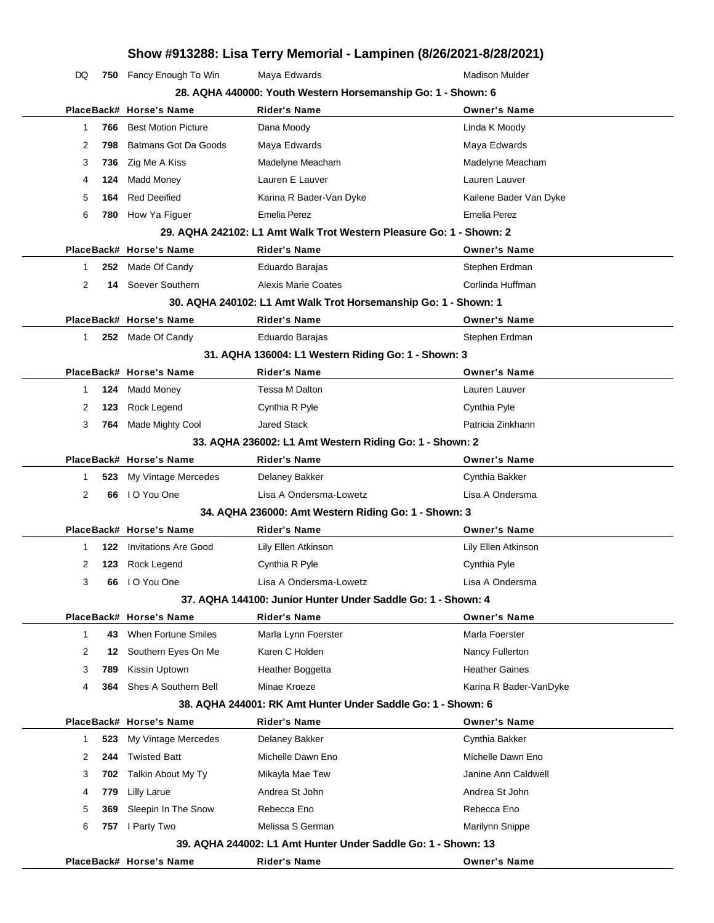DQ 750 Fancy Enough To Win Maya Edwards Manuscript Madison Mulder **28. AQHA 440000: Youth Western Horsemanship Go: 1 - Shown: 6**

|              | PlaceBack# Horse's Name     | <b>Rider's Name</b>                                                 | <b>Owner's Name</b>    |
|--------------|-----------------------------|---------------------------------------------------------------------|------------------------|
| 766<br>1     | <b>Best Motion Picture</b>  | Dana Moody                                                          | Linda K Moody          |
| 2<br>798     | Batmans Got Da Goods        | Maya Edwards                                                        | Maya Edwards           |
| 3<br>736     | Zig Me A Kiss               | Madelyne Meacham                                                    | Madelyne Meacham       |
| 124<br>4     | Madd Money                  | Lauren E Lauver                                                     | Lauren Lauver          |
| 5<br>164     | <b>Red Deeified</b>         | Karina R Bader-Van Dyke                                             | Kailene Bader Van Dyke |
| 6            | 780 How Ya Figuer           | Emelia Perez                                                        | <b>Emelia Perez</b>    |
|              |                             | 29. AQHA 242102: L1 Amt Walk Trot Western Pleasure Go: 1 - Shown: 2 |                        |
|              | PlaceBack# Horse's Name     | <b>Rider's Name</b>                                                 | <b>Owner's Name</b>    |
| 1            | 252 Made Of Candy           | Eduardo Barajas                                                     | Stephen Erdman         |
| 2<br>14      | Soever Southern             | <b>Alexis Marie Coates</b>                                          | Corlinda Huffman       |
|              |                             | 30. AQHA 240102: L1 Amt Walk Trot Horsemanship Go: 1 - Shown: 1     |                        |
|              | PlaceBack# Horse's Name     | <b>Rider's Name</b>                                                 | <b>Owner's Name</b>    |
| $\mathbf{1}$ | 252 Made Of Candy           | Eduardo Barajas                                                     | Stephen Erdman         |
|              |                             | 31. AQHA 136004: L1 Western Riding Go: 1 - Shown: 3                 |                        |
|              | PlaceBack# Horse's Name     | <b>Rider's Name</b>                                                 | <b>Owner's Name</b>    |
| 124<br>1     | <b>Madd Money</b>           | Tessa M Dalton                                                      | Lauren Lauver          |
| 123<br>2     | Rock Legend                 | Cynthia R Pyle                                                      | Cynthia Pyle           |
| 3<br>764     | Made Mighty Cool            | <b>Jared Stack</b>                                                  | Patricia Zinkhann      |
|              |                             | 33. AQHA 236002: L1 Amt Western Riding Go: 1 - Shown: 2             |                        |
|              | PlaceBack# Horse's Name     | <b>Rider's Name</b>                                                 | <b>Owner's Name</b>    |
| 523<br>1     | My Vintage Mercedes         | Delaney Bakker                                                      | Cynthia Bakker         |
| 2<br>66      | I O You One                 | Lisa A Ondersma-Lowetz                                              | Lisa A Ondersma        |
|              |                             | 34. AQHA 236000: Amt Western Riding Go: 1 - Shown: 3                |                        |
|              | PlaceBack# Horse's Name     | <b>Rider's Name</b>                                                 | <b>Owner's Name</b>    |
| 122<br>1     | <b>Invitations Are Good</b> | Lily Ellen Atkinson                                                 | Lily Ellen Atkinson    |
| 2<br>123     | Rock Legend                 | Cynthia R Pyle                                                      | Cynthia Pyle           |
| 3<br>66      | I O You One                 | Lisa A Ondersma-Lowetz                                              | Lisa A Ondersma        |
|              |                             | 37. AQHA 144100: Junior Hunter Under Saddle Go: 1 - Shown: 4        |                        |
|              | PlaceBack# Horse's Name     | Rider's Name                                                        | <b>Owner's Name</b>    |
| 1<br>43      | When Fortune Smiles         | Marla Lynn Foerster                                                 | Marla Foerster         |
| 2<br>12      | Southern Eyes On Me         | Karen C Holden                                                      | Nancy Fullerton        |
| 3<br>789     | Kissin Uptown               | Heather Boggetta                                                    | <b>Heather Gaines</b>  |
| 4<br>364     | Shes A Southern Bell        | Minae Kroeze                                                        | Karina R Bader-VanDyke |
|              |                             | 38. AQHA 244001: RK Amt Hunter Under Saddle Go: 1 - Shown: 6        |                        |
|              | PlaceBack# Horse's Name     | Rider's Name                                                        | <b>Owner's Name</b>    |
| 523<br>1     | My Vintage Mercedes         | Delaney Bakker                                                      | Cynthia Bakker         |
| 2<br>244     | <b>Twisted Batt</b>         | Michelle Dawn Eno                                                   | Michelle Dawn Eno      |
| 3<br>702     | Talkin About My Ty          | Mikayla Mae Tew                                                     | Janine Ann Caldwell    |
| 4<br>779     | Lilly Larue                 | Andrea St John                                                      | Andrea St John         |
| 5<br>369     | Sleepin In The Snow         | Rebecca Eno                                                         | Rebecca Eno            |
| 6            | 757 I Party Two             | Melissa S German                                                    | Marilynn Snippe        |
|              |                             | 39. AQHA 244002: L1 Amt Hunter Under Saddle Go: 1 - Shown: 13       |                        |
|              | PlaceBack# Horse's Name     | <b>Rider's Name</b>                                                 | <b>Owner's Name</b>    |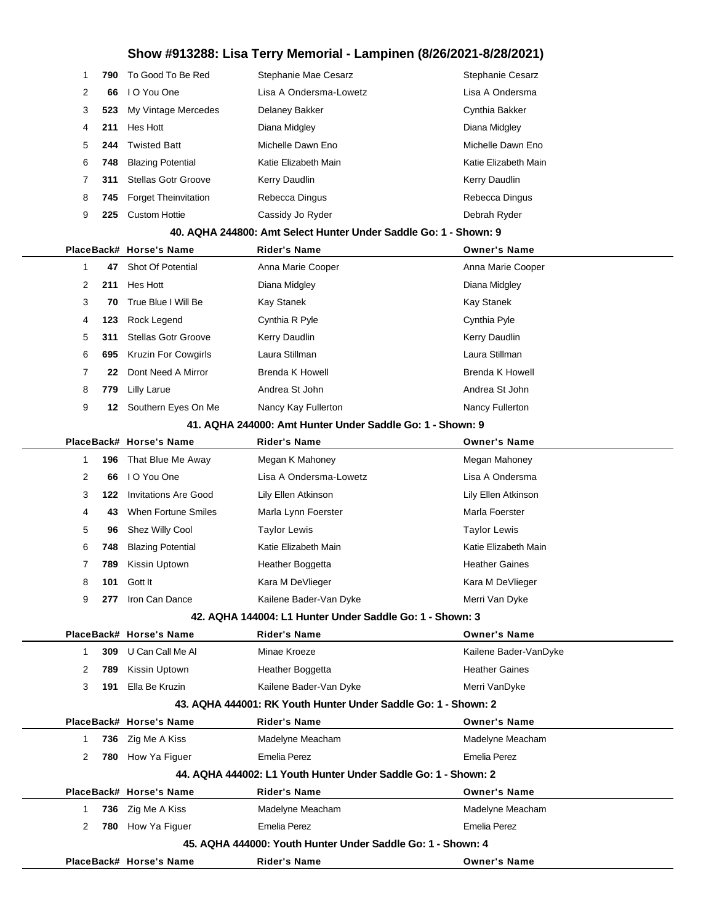| 1            | 790 | To Good To Be Red           | Stephanie Mae Cesarz                                             | <b>Stephanie Cesarz</b> |
|--------------|-----|-----------------------------|------------------------------------------------------------------|-------------------------|
| 2            | 66  | I O You One                 | Lisa A Ondersma-Lowetz                                           | Lisa A Ondersma         |
| 3            | 523 | My Vintage Mercedes         | Delaney Bakker                                                   | Cynthia Bakker          |
| 4            | 211 | Hes Hott                    | Diana Midgley                                                    | Diana Midgley           |
| 5            | 244 | <b>Twisted Batt</b>         | Michelle Dawn Eno                                                | Michelle Dawn Eno       |
| 6            | 748 | <b>Blazing Potential</b>    | Katie Elizabeth Main                                             | Katie Elizabeth Main    |
| 7            | 311 | <b>Stellas Gotr Groove</b>  | Kerry Daudlin                                                    | Kerry Daudlin           |
| 8            | 745 | <b>Forget Theinvitation</b> | Rebecca Dingus                                                   | Rebecca Dingus          |
| 9            | 225 | <b>Custom Hottie</b>        | Cassidy Jo Ryder                                                 | Debrah Ryder            |
|              |     |                             | 40. AQHA 244800: Amt Select Hunter Under Saddle Go: 1 - Shown: 9 |                         |
|              |     | PlaceBack# Horse's Name     | <b>Rider's Name</b>                                              | <b>Owner's Name</b>     |
| $\mathbf{1}$ | 47  | <b>Shot Of Potential</b>    | Anna Marie Cooper                                                | Anna Marie Cooper       |
| 2            | 211 | Hes Hott                    | Diana Midgley                                                    | Diana Midgley           |
| 3            | 70  | True Blue I Will Be         | Kay Stanek                                                       | <b>Kay Stanek</b>       |
| 4            | 123 | Rock Legend                 | Cynthia R Pyle                                                   | Cynthia Pyle            |
| 5            | 311 | <b>Stellas Gotr Groove</b>  | Kerry Daudlin                                                    | Kerry Daudlin           |
| 6            | 695 | Kruzin For Cowgirls         | Laura Stillman                                                   | Laura Stillman          |
| 7            | 22  | Dont Need A Mirror          | <b>Brenda K Howell</b>                                           | <b>Brenda K Howell</b>  |
| 8            | 779 | <b>Lilly Larue</b>          | Andrea St John                                                   | Andrea St John          |
| 9            | 12  | Southern Eyes On Me         | Nancy Kay Fullerton                                              | Nancy Fullerton         |
|              |     |                             | 41. AQHA 244000: Amt Hunter Under Saddle Go: 1 - Shown: 9        |                         |
|              |     | PlaceBack# Horse's Name     | <b>Rider's Name</b>                                              | <b>Owner's Name</b>     |
| $\mathbf{1}$ | 196 | That Blue Me Away           | Megan K Mahoney                                                  | Megan Mahoney           |
| 2            | 66  | I O You One                 | Lisa A Ondersma-Lowetz                                           | Lisa A Ondersma         |
| 3            | 122 | <b>Invitations Are Good</b> | Lily Ellen Atkinson                                              | Lily Ellen Atkinson     |
| 4            | 43  | <b>When Fortune Smiles</b>  | Marla Lynn Foerster                                              | Marla Foerster          |
| 5            | 96  | Shez Willy Cool             | <b>Taylor Lewis</b>                                              | <b>Taylor Lewis</b>     |
| 6            | 748 | <b>Blazing Potential</b>    | Katie Elizabeth Main                                             | Katie Elizabeth Main    |
| 7            | 789 | Kissin Uptown               | Heather Boggetta                                                 | <b>Heather Gaines</b>   |
| 8            | 101 | Gott It                     | Kara M DeVlieger                                                 | Kara M DeVlieger        |
| 9            | 277 | Iron Can Dance              | Kailene Bader-Van Dyke                                           | Merri Van Dyke          |
|              |     |                             | 42. AQHA 144004: L1 Hunter Under Saddle Go: 1 - Shown: 3         |                         |
|              |     | PlaceBack# Horse's Name     | <b>Rider's Name</b>                                              | <b>Owner's Name</b>     |
| 1            |     | 309 U Can Call Me Al        | Minae Kroeze                                                     | Kailene Bader-VanDyke   |
| 2            | 789 | Kissin Uptown               | Heather Boggetta                                                 | <b>Heather Gaines</b>   |
| 3            | 191 | Ella Be Kruzin              | Kailene Bader-Van Dyke                                           | Merri VanDyke           |
|              |     |                             | 43. AQHA 444001: RK Youth Hunter Under Saddle Go: 1 - Shown: 2   |                         |
|              |     | PlaceBack# Horse's Name     | <b>Rider's Name</b>                                              | <b>Owner's Name</b>     |
| 1            |     | 736 Zig Me A Kiss           | Madelyne Meacham                                                 | Madelyne Meacham        |
| 2            |     | 780 How Ya Figuer           | Emelia Perez                                                     | <b>Emelia Perez</b>     |
|              |     |                             | 44. AQHA 444002: L1 Youth Hunter Under Saddle Go: 1 - Shown: 2   |                         |
|              |     | PlaceBack# Horse's Name     | <b>Rider's Name</b>                                              | <b>Owner's Name</b>     |
| 1            |     | 736 Zig Me A Kiss           | Madelyne Meacham                                                 | Madelyne Meacham        |
| 2            | 780 | How Ya Figuer               | <b>Emelia Perez</b>                                              | <b>Emelia Perez</b>     |
|              |     |                             | 45. AQHA 444000: Youth Hunter Under Saddle Go: 1 - Shown: 4      |                         |
|              |     | PlaceBack# Horse's Name     | <b>Rider's Name</b>                                              | <b>Owner's Name</b>     |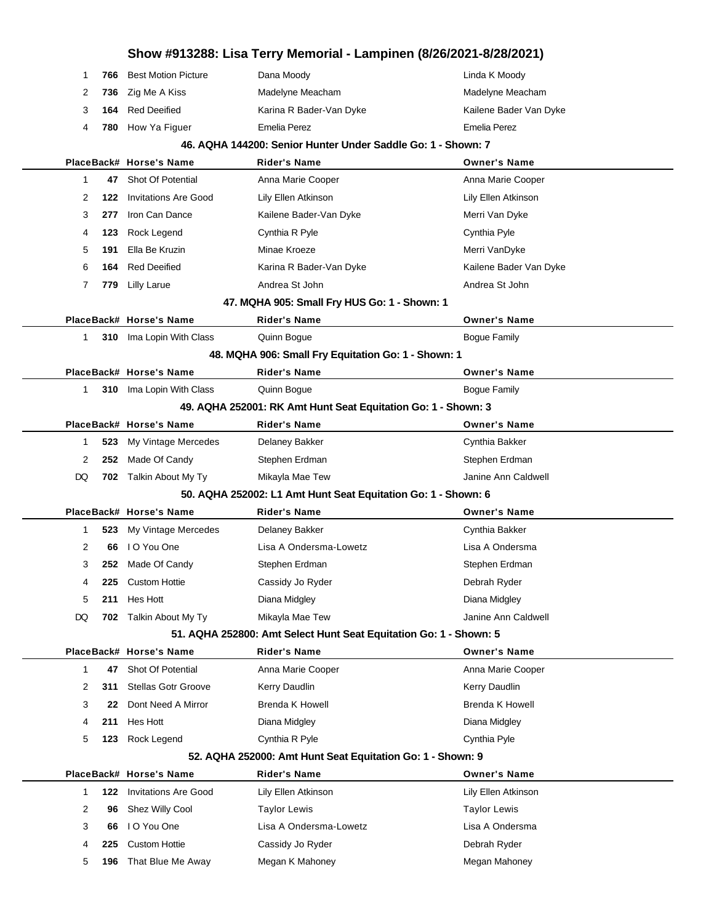| Show #913288: Lisa Terry Memorial - Lampinen (8/26/2021-8/28/2021) |     |                                              |                                                                                          |                                          |
|--------------------------------------------------------------------|-----|----------------------------------------------|------------------------------------------------------------------------------------------|------------------------------------------|
| 1                                                                  | 766 | <b>Best Motion Picture</b>                   | Dana Moody                                                                               | Linda K Moody                            |
| 2                                                                  | 736 | Zig Me A Kiss                                | Madelyne Meacham                                                                         | Madelyne Meacham                         |
| 3                                                                  | 164 | <b>Red Deeified</b>                          | Karina R Bader-Van Dyke                                                                  | Kailene Bader Van Dyke                   |
| 4                                                                  | 780 | How Ya Figuer                                | Emelia Perez                                                                             | <b>Emelia Perez</b>                      |
|                                                                    |     |                                              | 46. AQHA 144200: Senior Hunter Under Saddle Go: 1 - Shown: 7                             |                                          |
|                                                                    |     | PlaceBack# Horse's Name                      | <b>Rider's Name</b>                                                                      | <b>Owner's Name</b>                      |
| 1                                                                  | 47  | <b>Shot Of Potential</b>                     | Anna Marie Cooper                                                                        | Anna Marie Cooper                        |
| 2                                                                  | 122 | <b>Invitations Are Good</b>                  | Lily Ellen Atkinson                                                                      | Lily Ellen Atkinson                      |
| 3                                                                  | 277 | Iron Can Dance                               | Kailene Bader-Van Dyke                                                                   | Merri Van Dyke                           |
| 4                                                                  | 123 | Rock Legend                                  | Cynthia R Pyle                                                                           | Cynthia Pyle                             |
| 5                                                                  | 191 | Ella Be Kruzin                               | Minae Kroeze                                                                             | Merri VanDyke                            |
| 6                                                                  | 164 | <b>Red Deeified</b>                          | Karina R Bader-Van Dyke                                                                  | Kailene Bader Van Dyke                   |
| 7                                                                  | 779 | <b>Lilly Larue</b>                           | Andrea St John                                                                           | Andrea St John                           |
|                                                                    |     |                                              | 47. MQHA 905: Small Fry HUS Go: 1 - Shown: 1                                             |                                          |
|                                                                    |     | PlaceBack# Horse's Name                      | <b>Rider's Name</b>                                                                      | <b>Owner's Name</b>                      |
| $\mathbf{1}$                                                       |     | 310 Ima Lopin With Class                     | Quinn Bogue                                                                              | <b>Bogue Family</b>                      |
|                                                                    |     |                                              | 48. MQHA 906: Small Fry Equitation Go: 1 - Shown: 1                                      |                                          |
|                                                                    |     | PlaceBack# Horse's Name                      | <b>Rider's Name</b>                                                                      | <b>Owner's Name</b>                      |
| 1                                                                  |     | 310 Ima Lopin With Class                     | Quinn Bogue                                                                              | <b>Bogue Family</b>                      |
|                                                                    |     |                                              | 49. AQHA 252001: RK Amt Hunt Seat Equitation Go: 1 - Shown: 3                            |                                          |
|                                                                    |     | PlaceBack# Horse's Name                      | <b>Rider's Name</b>                                                                      | <b>Owner's Name</b>                      |
| 1                                                                  | 523 | My Vintage Mercedes                          | Delaney Bakker                                                                           | Cynthia Bakker                           |
| 2                                                                  | 252 | Made Of Candy                                | Stephen Erdman                                                                           | Stephen Erdman                           |
| DQ                                                                 |     | 702 Talkin About My Ty                       | Mikayla Mae Tew                                                                          | Janine Ann Caldwell                      |
|                                                                    |     |                                              | 50. AQHA 252002: L1 Amt Hunt Seat Equitation Go: 1 - Shown: 6                            |                                          |
|                                                                    |     | PlaceBack# Horse's Name                      | <b>Rider's Name</b>                                                                      | <b>Owner's Name</b>                      |
| 1                                                                  | 523 | My Vintage Mercedes                          | Delaney Bakker                                                                           | Cynthia Bakker                           |
| $\overline{2}$                                                     | 66  | I O You One                                  | Lisa A Ondersma-Lowetz                                                                   | Lisa A Ondersma                          |
| 3                                                                  | 252 | Made Of Candy                                | Stephen Erdman                                                                           | Stephen Erdman                           |
| 4                                                                  | 225 | <b>Custom Hottie</b>                         | Cassidy Jo Ryder                                                                         | Debrah Ryder                             |
| 5                                                                  | 211 | Hes Hott                                     | Diana Midgley                                                                            | Diana Midgley                            |
| DQ                                                                 | 702 | Talkin About My Ty                           | Mikayla Mae Tew                                                                          | Janine Ann Caldwell                      |
|                                                                    |     |                                              | 51. AQHA 252800: Amt Select Hunt Seat Equitation Go: 1 - Shown: 5<br><b>Rider's Name</b> |                                          |
| 1                                                                  | 47  | PlaceBack# Horse's Name<br>Shot Of Potential | Anna Marie Cooper                                                                        | <b>Owner's Name</b><br>Anna Marie Cooper |
| 2                                                                  | 311 | <b>Stellas Gotr Groove</b>                   | Kerry Daudlin                                                                            | Kerry Daudlin                            |
| 3                                                                  | 22  | Dont Need A Mirror                           | <b>Brenda K Howell</b>                                                                   | <b>Brenda K Howell</b>                   |
| 4                                                                  | 211 | Hes Hott                                     | Diana Midgley                                                                            | Diana Midgley                            |
| 5                                                                  | 123 | Rock Legend                                  | Cynthia R Pyle                                                                           | Cynthia Pyle                             |
|                                                                    |     |                                              | 52. AQHA 252000: Amt Hunt Seat Equitation Go: 1 - Shown: 9                               |                                          |
|                                                                    |     | PlaceBack# Horse's Name                      | <b>Rider's Name</b>                                                                      | <b>Owner's Name</b>                      |
| 1                                                                  | 122 | <b>Invitations Are Good</b>                  | Lily Ellen Atkinson                                                                      | Lily Ellen Atkinson                      |
| 2                                                                  | 96  | Shez Willy Cool                              | <b>Taylor Lewis</b>                                                                      | <b>Taylor Lewis</b>                      |
| 3                                                                  | 66  | I O You One                                  | Lisa A Ondersma-Lowetz                                                                   | Lisa A Ondersma                          |
| 4                                                                  | 225 | <b>Custom Hottie</b>                         | Cassidy Jo Ryder                                                                         | Debrah Ryder                             |
| 5                                                                  | 196 | That Blue Me Away                            | Megan K Mahoney                                                                          | Megan Mahoney                            |
|                                                                    |     |                                              |                                                                                          |                                          |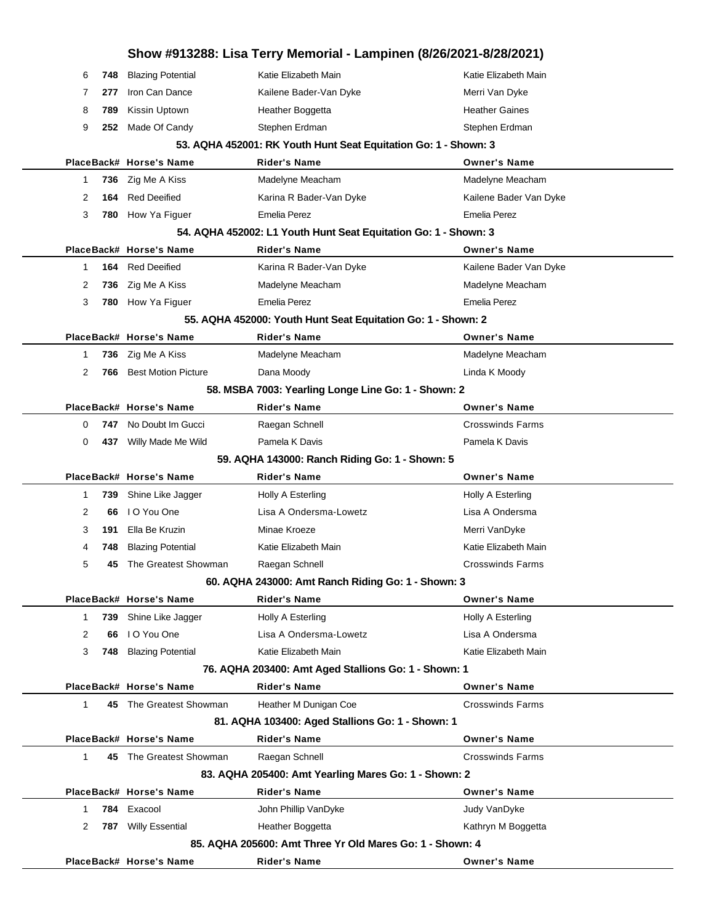|              |     |                            | Show #913288: Lisa Terry Memorial - Lampinen (8/26/2021-8/28/2021) |                         |
|--------------|-----|----------------------------|--------------------------------------------------------------------|-------------------------|
| 6            | 748 | <b>Blazing Potential</b>   | Katie Elizabeth Main                                               | Katie Elizabeth Main    |
| 7            | 277 | Iron Can Dance             | Kailene Bader-Van Dyke                                             | Merri Van Dyke          |
| 8            | 789 | Kissin Uptown              | Heather Boggetta                                                   | <b>Heather Gaines</b>   |
| 9            | 252 | Made Of Candy              | Stephen Erdman                                                     | Stephen Erdman          |
|              |     |                            | 53. AQHA 452001: RK Youth Hunt Seat Equitation Go: 1 - Shown: 3    |                         |
|              |     | PlaceBack# Horse's Name    | <b>Rider's Name</b>                                                | <b>Owner's Name</b>     |
| 1            | 736 | Zig Me A Kiss              | Madelyne Meacham                                                   | Madelyne Meacham        |
| 2            | 164 | <b>Red Deeified</b>        | Karina R Bader-Van Dyke                                            | Kailene Bader Van Dyke  |
| 3            | 780 | How Ya Figuer              | Emelia Perez                                                       | Emelia Perez            |
|              |     |                            | 54. AQHA 452002: L1 Youth Hunt Seat Equitation Go: 1 - Shown: 3    |                         |
|              |     | PlaceBack# Horse's Name    | <b>Rider's Name</b>                                                | <b>Owner's Name</b>     |
| 1            | 164 | <b>Red Deeified</b>        | Karina R Bader-Van Dyke                                            | Kailene Bader Van Dyke  |
| 2            | 736 | Zig Me A Kiss              | Madelyne Meacham                                                   | Madelyne Meacham        |
| 3            | 780 | How Ya Figuer              | <b>Emelia Perez</b>                                                | <b>Emelia Perez</b>     |
|              |     |                            | 55. AQHA 452000: Youth Hunt Seat Equitation Go: 1 - Shown: 2       |                         |
|              |     | PlaceBack# Horse's Name    | <b>Rider's Name</b>                                                | <b>Owner's Name</b>     |
| 1            | 736 | Zig Me A Kiss              | Madelyne Meacham                                                   | Madelyne Meacham        |
| 2            | 766 | <b>Best Motion Picture</b> | Dana Moody                                                         | Linda K Moody           |
|              |     |                            | 58. MSBA 7003: Yearling Longe Line Go: 1 - Shown: 2                |                         |
|              |     | PlaceBack# Horse's Name    | <b>Rider's Name</b>                                                | <b>Owner's Name</b>     |
| 0            | 747 | No Doubt Im Gucci          | Raegan Schnell                                                     | <b>Crosswinds Farms</b> |
| 0            | 437 | Willy Made Me Wild         | Pamela K Davis                                                     | Pamela K Davis          |
|              |     |                            | 59. AQHA 143000: Ranch Riding Go: 1 - Shown: 5                     |                         |
|              |     | PlaceBack# Horse's Name    | <b>Rider's Name</b>                                                | <b>Owner's Name</b>     |
| 1            | 739 | Shine Like Jagger          | Holly A Esterling                                                  | Holly A Esterling       |
| 2            | 66  | I O You One                | Lisa A Ondersma-Lowetz                                             | Lisa A Ondersma         |
| 3            | 191 | Ella Be Kruzin             | Minae Kroeze                                                       | Merri VanDyke           |
| 4            | 748 | <b>Blazing Potential</b>   | Katie Elizabeth Main                                               | Katie Elizabeth Main    |
| 5            | 45  | The Greatest Showman       | Raegan Schnell                                                     | Crosswinds Farms        |
|              |     |                            | 60. AQHA 243000: Amt Ranch Riding Go: 1 - Shown: 3                 |                         |
|              |     | PlaceBack# Horse's Name    | <b>Rider's Name</b>                                                | <b>Owner's Name</b>     |
| 1            | 739 | Shine Like Jagger          | Holly A Esterling                                                  | Holly A Esterling       |
| 2            | 66  | I O You One                | Lisa A Ondersma-Lowetz                                             | Lisa A Ondersma         |
| 3            | 748 | <b>Blazing Potential</b>   | Katie Elizabeth Main                                               | Katie Elizabeth Main    |
|              |     |                            | 76. AQHA 203400: Amt Aged Stallions Go: 1 - Shown: 1               |                         |
|              |     | PlaceBack# Horse's Name    | <b>Rider's Name</b>                                                | <b>Owner's Name</b>     |
| 1            |     | 45 The Greatest Showman    | Heather M Dunigan Coe                                              | <b>Crosswinds Farms</b> |
|              |     |                            | 81. AQHA 103400: Aged Stallions Go: 1 - Shown: 1                   |                         |
|              |     | PlaceBack# Horse's Name    | <b>Rider's Name</b>                                                | <b>Owner's Name</b>     |
| $\mathbf{1}$ |     | 45 The Greatest Showman    | Raegan Schnell                                                     | <b>Crosswinds Farms</b> |
|              |     |                            | 83. AQHA 205400: Amt Yearling Mares Go: 1 - Shown: 2               |                         |
|              |     | PlaceBack# Horse's Name    | <b>Rider's Name</b>                                                | <b>Owner's Name</b>     |
| 1            | 784 | Exacool                    | John Phillip VanDyke                                               | Judy VanDyke            |
| 2            | 787 | <b>Willy Essential</b>     | Heather Boggetta                                                   | Kathryn M Boggetta      |
|              |     |                            | 85. AQHA 205600: Amt Three Yr Old Mares Go: 1 - Shown: 4           |                         |
|              |     | PlaceBack# Horse's Name    | <b>Rider's Name</b>                                                | <b>Owner's Name</b>     |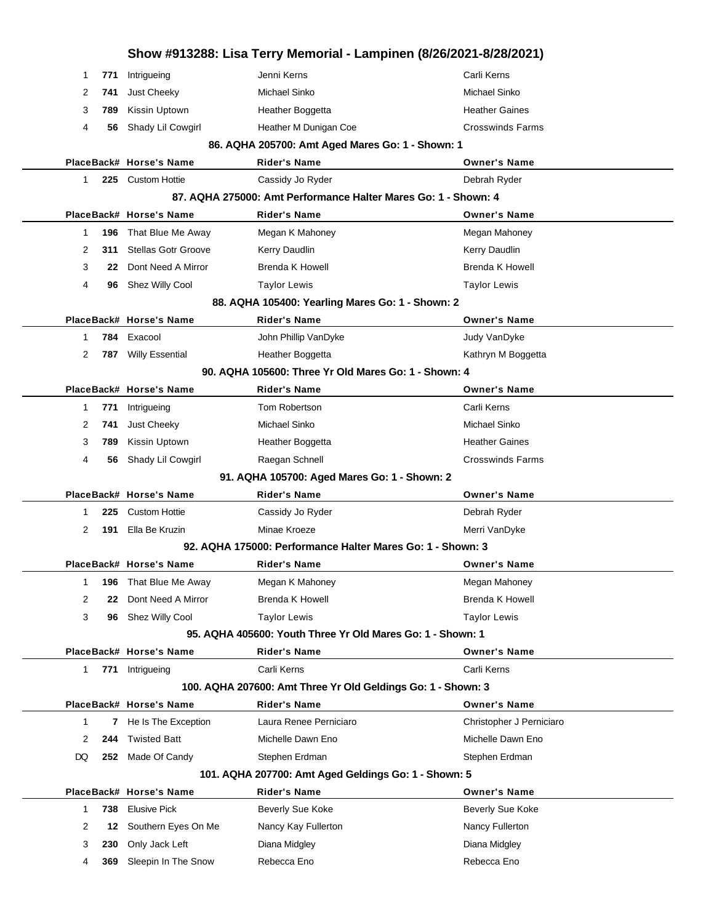|    |     |                            |                                                                                     | Show #913288: Lisa Terry Memorial - Lampinen (8/26/2021-8/28/2021) |  |
|----|-----|----------------------------|-------------------------------------------------------------------------------------|--------------------------------------------------------------------|--|
| 1  | 771 | Intrigueing                | Jenni Kerns                                                                         | Carli Kerns                                                        |  |
| 2  | 741 | Just Cheeky                | Michael Sinko                                                                       | Michael Sinko                                                      |  |
| 3  | 789 | Kissin Uptown              | Heather Boggetta                                                                    | <b>Heather Gaines</b>                                              |  |
| 4  | 56  | Shady Lil Cowgirl          | Heather M Dunigan Coe                                                               | <b>Crosswinds Farms</b>                                            |  |
|    |     |                            | 86. AQHA 205700: Amt Aged Mares Go: 1 - Shown: 1                                    |                                                                    |  |
|    |     | PlaceBack# Horse's Name    | <b>Rider's Name</b>                                                                 | <b>Owner's Name</b>                                                |  |
| 1  |     | 225 Custom Hottie          | Cassidy Jo Ryder                                                                    | Debrah Ryder                                                       |  |
|    |     |                            | 87. AQHA 275000: Amt Performance Halter Mares Go: 1 - Shown: 4                      |                                                                    |  |
|    |     | PlaceBack# Horse's Name    | <b>Rider's Name</b>                                                                 | <b>Owner's Name</b>                                                |  |
| 1  | 196 | That Blue Me Away          | Megan K Mahoney                                                                     | Megan Mahoney                                                      |  |
| 2  | 311 | <b>Stellas Gotr Groove</b> | Kerry Daudlin                                                                       | Kerry Daudlin                                                      |  |
| 3  | 22  | Dont Need A Mirror         | <b>Brenda K Howell</b>                                                              | <b>Brenda K Howell</b>                                             |  |
| 4  | 96  | Shez Willy Cool            | <b>Taylor Lewis</b>                                                                 | <b>Taylor Lewis</b>                                                |  |
|    |     |                            | 88. AQHA 105400: Yearling Mares Go: 1 - Shown: 2                                    |                                                                    |  |
|    |     | PlaceBack# Horse's Name    | <b>Rider's Name</b>                                                                 | <b>Owner's Name</b>                                                |  |
| 1  |     | 784 Exacool                | John Phillip VanDyke                                                                | Judy VanDyke                                                       |  |
| 2  |     | 787 Willy Essential        | Heather Boggetta                                                                    | Kathryn M Boggetta                                                 |  |
|    |     |                            | 90. AQHA 105600: Three Yr Old Mares Go: 1 - Shown: 4                                |                                                                    |  |
|    |     | PlaceBack# Horse's Name    | <b>Rider's Name</b>                                                                 | <b>Owner's Name</b>                                                |  |
| 1  | 771 | Intrigueing                | Tom Robertson                                                                       | Carli Kerns                                                        |  |
| 2  | 741 | Just Cheeky                | Michael Sinko                                                                       | Michael Sinko                                                      |  |
| 3  | 789 | Kissin Uptown              | Heather Boggetta                                                                    | <b>Heather Gaines</b>                                              |  |
| 4  | 56  | Shady Lil Cowgirl          | Raegan Schnell                                                                      | <b>Crosswinds Farms</b>                                            |  |
|    |     |                            | 91. AQHA 105700: Aged Mares Go: 1 - Shown: 2                                        |                                                                    |  |
|    |     | PlaceBack# Horse's Name    | <b>Rider's Name</b>                                                                 | <b>Owner's Name</b>                                                |  |
| 1  | 225 | <b>Custom Hottie</b>       | Cassidy Jo Ryder                                                                    | Debrah Ryder                                                       |  |
| 2  | 191 | Ella Be Kruzin             | Minae Kroeze                                                                        | Merri VanDyke                                                      |  |
|    |     |                            | 92. AQHA 175000: Performance Halter Mares Go: 1 - Shown: 3                          |                                                                    |  |
|    |     | PlaceBack# Horse's Name    | <b>Rider's Name</b>                                                                 | <b>Owner's Name</b>                                                |  |
| 1  | 196 | That Blue Me Away          | Megan K Mahoney                                                                     | Megan Mahoney                                                      |  |
| 2  | 22  | Dont Need A Mirror         | Brenda K Howell                                                                     | <b>Brenda K Howell</b>                                             |  |
| 3  | 96  | Shez Willy Cool            | <b>Taylor Lewis</b>                                                                 | <b>Taylor Lewis</b>                                                |  |
|    |     |                            | 95. AQHA 405600: Youth Three Yr Old Mares Go: 1 - Shown: 1                          |                                                                    |  |
|    |     | PlaceBack# Horse's Name    | <b>Rider's Name</b>                                                                 | <b>Owner's Name</b>                                                |  |
| 1  | 771 | Intrigueing                | Carli Kerns                                                                         | Carli Kerns                                                        |  |
|    |     | PlaceBack# Horse's Name    | 100. AQHA 207600: Amt Three Yr Old Geldings Go: 1 - Shown: 3<br><b>Rider's Name</b> | <b>Owner's Name</b>                                                |  |
| 1  |     |                            | Laura Renee Perniciaro                                                              | Christopher J Perniciaro                                           |  |
|    |     | 7 He Is The Exception      |                                                                                     |                                                                    |  |
| 2  | 244 | <b>Twisted Batt</b>        | Michelle Dawn Eno                                                                   | Michelle Dawn Eno                                                  |  |
| DQ | 252 | Made Of Candy              | Stephen Erdman<br>101. AQHA 207700: Amt Aged Geldings Go: 1 - Shown: 5              | Stephen Erdman                                                     |  |
|    |     | PlaceBack# Horse's Name    | <b>Rider's Name</b>                                                                 | <b>Owner's Name</b>                                                |  |
| 1  | 738 | <b>Elusive Pick</b>        | Beverly Sue Koke                                                                    | Beverly Sue Koke                                                   |  |
| 2  | 12  | Southern Eyes On Me        | Nancy Kay Fullerton                                                                 | Nancy Fullerton                                                    |  |
|    |     |                            |                                                                                     | Diana Midgley                                                      |  |
| 3  | 230 | Only Jack Left             | Diana Midgley                                                                       |                                                                    |  |
| 4  | 369 | Sleepin In The Snow        | Rebecca Eno                                                                         | Rebecca Eno                                                        |  |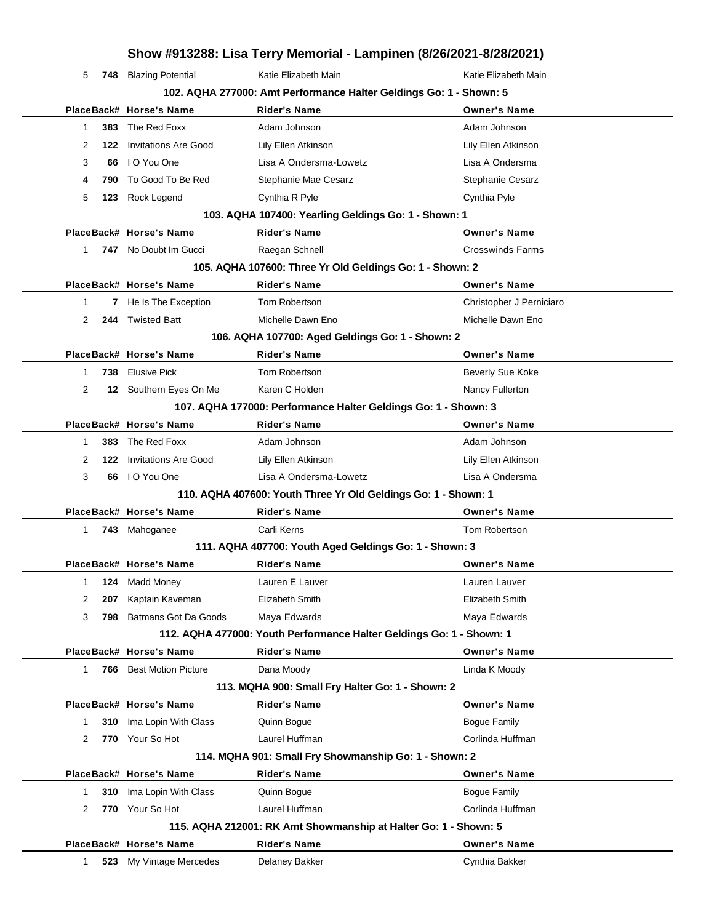| 5  |     | 748 Blazing Potential           | Katie Elizabeth Main                                                 | Katie Elizabeth Main     |
|----|-----|---------------------------------|----------------------------------------------------------------------|--------------------------|
|    |     |                                 | 102. AQHA 277000: Amt Performance Halter Geldings Go: 1 - Shown: 5   |                          |
|    |     | PlaceBack# Horse's Name         | <b>Rider's Name</b>                                                  | <b>Owner's Name</b>      |
| 1  | 383 | The Red Foxx                    | Adam Johnson                                                         | Adam Johnson             |
| 2  | 122 | <b>Invitations Are Good</b>     | Lily Ellen Atkinson                                                  | Lily Ellen Atkinson      |
| 3  | 66  | I O You One                     | Lisa A Ondersma-Lowetz                                               | Lisa A Ondersma          |
| 4  | 790 | To Good To Be Red               | Stephanie Mae Cesarz                                                 | <b>Stephanie Cesarz</b>  |
| 5  | 123 | Rock Legend                     | Cynthia R Pyle                                                       | Cynthia Pyle             |
|    |     |                                 | 103. AQHA 107400: Yearling Geldings Go: 1 - Shown: 1                 |                          |
|    |     | PlaceBack# Horse's Name         | <b>Rider's Name</b>                                                  | <b>Owner's Name</b>      |
| 1  |     | <b>747</b> No Doubt Im Gucci    | Raegan Schnell                                                       | <b>Crosswinds Farms</b>  |
|    |     |                                 | 105. AQHA 107600: Three Yr Old Geldings Go: 1 - Shown: 2             |                          |
|    |     | PlaceBack# Horse's Name         | <b>Rider's Name</b>                                                  | <b>Owner's Name</b>      |
| 1  |     | 7 He Is The Exception           | Tom Robertson                                                        | Christopher J Perniciaro |
| 2  |     | 244 Twisted Batt                | Michelle Dawn Eno                                                    | Michelle Dawn Eno        |
|    |     |                                 | 106. AQHA 107700: Aged Geldings Go: 1 - Shown: 2                     |                          |
|    |     | PlaceBack# Horse's Name         | <b>Rider's Name</b>                                                  | <b>Owner's Name</b>      |
| 1  | 738 | <b>Elusive Pick</b>             | Tom Robertson                                                        | Beverly Sue Koke         |
| 2  |     | 12 Southern Eyes On Me          | Karen C Holden                                                       | Nancy Fullerton          |
|    |     |                                 | 107. AQHA 177000: Performance Halter Geldings Go: 1 - Shown: 3       |                          |
|    |     | PlaceBack# Horse's Name         | <b>Rider's Name</b>                                                  | <b>Owner's Name</b>      |
| 1  | 383 | The Red Foxx                    | Adam Johnson                                                         | Adam Johnson             |
| 2  |     | <b>122</b> Invitations Are Good | Lily Ellen Atkinson                                                  | Lily Ellen Atkinson      |
| 3  |     | 66 IO You One                   | Lisa A Ondersma-Lowetz                                               | Lisa A Ondersma          |
|    |     |                                 | 110. AQHA 407600: Youth Three Yr Old Geldings Go: 1 - Shown: 1       |                          |
|    |     | PlaceBack# Horse's Name         | <b>Rider's Name</b>                                                  | <b>Owner's Name</b>      |
| 1  |     | 743 Mahoganee                   | Carli Kerns                                                          | Tom Robertson            |
|    |     |                                 | 111. AQHA 407700: Youth Aged Geldings Go: 1 - Shown: 3               |                          |
|    |     | PlaceBack# Horse's Name         | <b>Rider's Name</b>                                                  | <b>Owner's Name</b>      |
| 1. |     | <b>124</b> Madd Money           | Lauren E Lauver                                                      | Lauren Lauver            |
| 2  | 207 | Kaptain Kaveman                 | Elizabeth Smith                                                      | Elizabeth Smith          |
| 3  | 798 | Batmans Got Da Goods            | Maya Edwards                                                         | Maya Edwards             |
|    |     |                                 | 112. AQHA 477000: Youth Performance Halter Geldings Go: 1 - Shown: 1 |                          |
|    |     | PlaceBack# Horse's Name         | <b>Rider's Name</b>                                                  | <b>Owner's Name</b>      |
| 1  |     | <b>766</b> Best Motion Picture  | Dana Moody                                                           | Linda K Moody            |
|    |     |                                 | 113. MQHA 900: Small Fry Halter Go: 1 - Shown: 2                     |                          |
|    |     | PlaceBack# Horse's Name         | <b>Rider's Name</b>                                                  | <b>Owner's Name</b>      |
| 1  | 310 | Ima Lopin With Class            | Quinn Bogue                                                          | Bogue Family             |
| 2  | 770 | Your So Hot                     | Laurel Huffman                                                       | Corlinda Huffman         |
|    |     |                                 | 114. MQHA 901: Small Fry Showmanship Go: 1 - Shown: 2                |                          |
|    |     | PlaceBack# Horse's Name         | <b>Rider's Name</b>                                                  | <b>Owner's Name</b>      |
| 1  | 310 | Ima Lopin With Class            | Quinn Bogue                                                          | <b>Bogue Family</b>      |
| 2  | 770 | Your So Hot                     | Laurel Huffman                                                       | Corlinda Huffman         |
|    |     |                                 | 115. AQHA 212001: RK Amt Showmanship at Halter Go: 1 - Shown: 5      |                          |
|    |     | PlaceBack# Horse's Name         | <b>Rider's Name</b>                                                  | <b>Owner's Name</b>      |
| 1  |     | 523 My Vintage Mercedes         | Delaney Bakker                                                       | Cynthia Bakker           |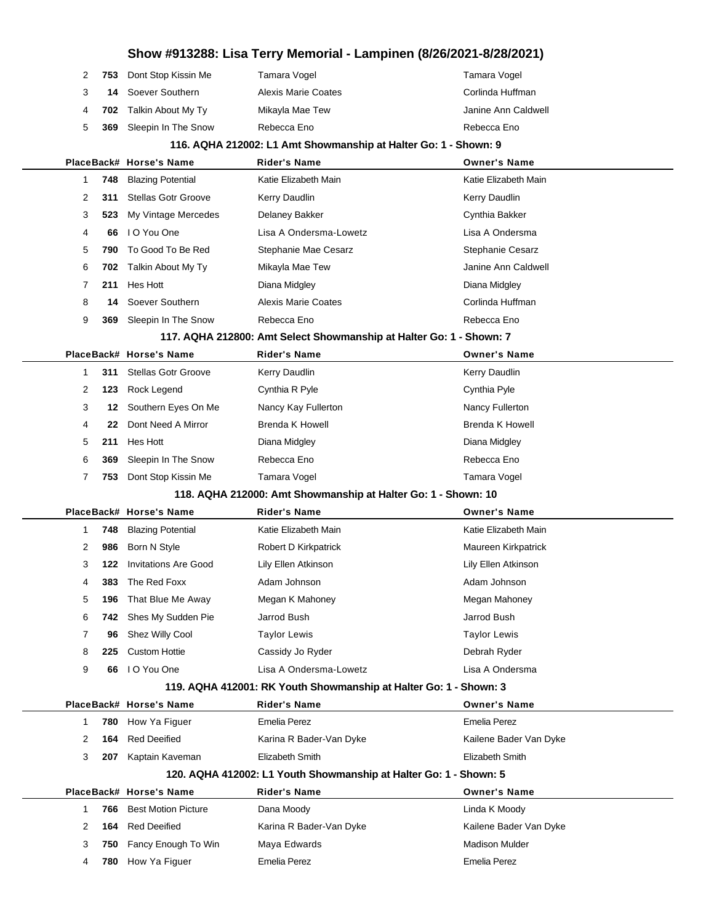## **Show #913288: Lisa Terry Memorial - Lampinen (8/26/2021-8/28/2021)** 2 753 Dont Stop Kissin Me Tamara Vogel Tamara Vogel Tamara Vogel Soever Southern **Alexis Marie Coates** Corlinda Huffman **Corling Alexis Marie Coates 702** Talkin About My Ty Mikayla Mae Tew **Janine Ann Caldwell 369** Sleepin In The Snow Rebecca Eno Rebecca Eno Rebecca Eno **116. AQHA 212002: L1 Amt Showmanship at Halter Go: 1 - Shown: 9 PlaceBack# Horse's Name Rider's Name Owner's Name 748** Blazing Potential **Katie Elizabeth Main** Katie Elizabeth Main Katie Elizabeth Main **311** Stellas Gotr Groove Kerry Daudlin Kerry Daudlin Kerry Daudlin **523** My Vintage Mercedes Delaney Bakker Cynthia Bakker Cynthia Bakker **66** I O You One Lisa A Ondersma-Lowetz Lisa A Ondersma **790** To Good To Be Red Stephanie Mae Cesarz **Stephanie Cesarz** Stephanie Cesarz **702** Talkin About My Ty Mikayla Mae Tew Janine Ann Caldwell **211** Hes Hott Diana Midgley Diana Midgley **14** Soever Southern **Alexis Marie Coates** Corlinda Huffman **369** Sleepin In The Snow Rebecca Eno Rebecca Eno Rebecca Eno **117. AQHA 212800: Amt Select Showmanship at Halter Go: 1 - Shown: 7 PlaceBack# Horse's Name Rider's Name Owner's Name 311** Stellas Gotr Groove Kerry Daudlin Kerry Daudlin Kerry Daudlin **123** Rock Legend Cynthia R Pyle Cynthia Pyle Cynthia Pyle **12 Southern Eyes On Me Mancy Kay Fullerton Nancy Fullerton Nancy Fullerton 22** Dont Need A Mirror Brenda K Howell Brenda K Howell Brenda K Howell **211** Hes Hott Diana Midgley Diana Midgley **369** Sleepin In The Snow Rebecca Eno Rebecca Eno **753** Dont Stop Kissin Me Tamara Vogel Tamara Vogel **118. AQHA 212000: Amt Showmanship at Halter Go: 1 - Shown: 10 PlaceBack# Horse's Name Rider's Name Owner's Name 748** Blazing Potential **Katie Elizabeth Main** Katie Elizabeth Main Katie Elizabeth Main **986** Born N Style **Robert D Kirkpatrick** Maureen Kirkpatrick **122** Invitations Are Good Lily Ellen Atkinson Lily Ellen Atkinson **383** The Red Foxx **Adam Johnson** Adam Johnson Adam Johnson **196** That Blue Me Away Megan K Mahoney Megan Megan Mahoney **742** Shes My Sudden Pie Jarrod Bush Jarrod Bush **96** Shez Willy Cool Taylor Lewis Taylor Lewis **225** Custom Hottie **Cassidy Jo Ryder Cassidy Hottie Cassidy Act Cassidy Jo Ryder Debrah Ryder 66** I O You One Lisa A Ondersma-Lowetz Lisa A Ondersma **119. AQHA 412001: RK Youth Showmanship at Halter Go: 1 - Shown: 3 PlaceBack# Horse's Name Rider's Name Owner's Name 780** How Ya Figuer **Emelia Perez** Emelia Perez **Emelia Perez** Emelia Perez **164** Red Deeified **Karina R Bader-Van Dyke** Kailene Bader Van Dyke **207** Kaptain Kaveman Elizabeth Smith Elizabeth Smith **120. AQHA 412002: L1 Youth Showmanship at Halter Go: 1 - Shown: 5 PlaceBack# Horse's Name Rider's Name Owner's Name 766** Best Motion Picture **Dana Moody Linda K Moody Linda K Moody 164** Red Deeified **Karina R Bader-Van Dyke** Kailene Bader Van Dyke 3 750 Fancy Enough To Win Maya Edwards Machines Madison Mulder **780** How Ya Figuer Emelia Perez Emelia Perez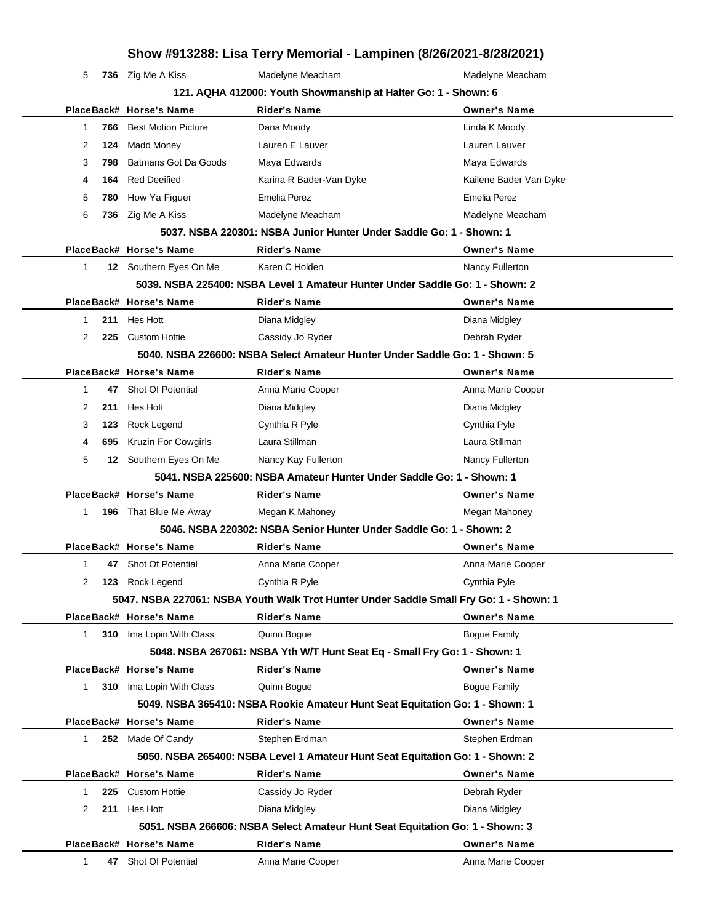| Show #913288: Lisa Terry Memorial - Lampinen (8/26/2021-8/28/2021) |  |
|--------------------------------------------------------------------|--|
|--------------------------------------------------------------------|--|

5 736 Zig Me A Kiss **Madelyne Meacham** Meacham Madelyne Meacham

| 121. AQHA 412000: Youth Showmanship at Halter Go: 1 - Shown: 6 |     |                            |                                                                                        |                        |
|----------------------------------------------------------------|-----|----------------------------|----------------------------------------------------------------------------------------|------------------------|
|                                                                |     | PlaceBack# Horse's Name    | <b>Rider's Name</b>                                                                    | <b>Owner's Name</b>    |
| 1                                                              | 766 | <b>Best Motion Picture</b> | Dana Moody                                                                             | Linda K Moody          |
| 2                                                              | 124 | Madd Money                 | Lauren E Lauver                                                                        | Lauren Lauver          |
| 3                                                              | 798 | Batmans Got Da Goods       | Maya Edwards                                                                           | Maya Edwards           |
| 4                                                              | 164 | <b>Red Deeified</b>        | Karina R Bader-Van Dyke                                                                | Kailene Bader Van Dyke |
| 5                                                              | 780 | How Ya Figuer              | <b>Emelia Perez</b>                                                                    | <b>Emelia Perez</b>    |
| 6                                                              | 736 | Zig Me A Kiss              | Madelyne Meacham                                                                       | Madelyne Meacham       |
|                                                                |     |                            | 5037. NSBA 220301: NSBA Junior Hunter Under Saddle Go: 1 - Shown: 1                    |                        |
|                                                                |     | PlaceBack# Horse's Name    | <b>Rider's Name</b>                                                                    | <b>Owner's Name</b>    |
| 1                                                              |     | 12 Southern Eyes On Me     | Karen C Holden                                                                         | Nancy Fullerton        |
|                                                                |     |                            | 5039. NSBA 225400: NSBA Level 1 Amateur Hunter Under Saddle Go: 1 - Shown: 2           |                        |
|                                                                |     | PlaceBack# Horse's Name    | <b>Rider's Name</b>                                                                    | <b>Owner's Name</b>    |
| 1                                                              |     | 211 Hes Hott               | Diana Midgley                                                                          | Diana Midgley          |
| 2                                                              | 225 | <b>Custom Hottie</b>       | Cassidy Jo Ryder                                                                       | Debrah Ryder           |
|                                                                |     |                            | 5040, NSBA 226600: NSBA Select Amateur Hunter Under Saddle Go: 1 - Shown: 5            |                        |
|                                                                |     | PlaceBack# Horse's Name    | <b>Rider's Name</b>                                                                    | <b>Owner's Name</b>    |
| 1                                                              | 47  | Shot Of Potential          | Anna Marie Cooper                                                                      | Anna Marie Cooper      |
| 2                                                              | 211 | Hes Hott                   | Diana Midgley                                                                          | Diana Midgley          |
| 3                                                              | 123 | Rock Legend                | Cynthia R Pyle                                                                         | Cynthia Pyle           |
| 4                                                              | 695 | <b>Kruzin For Cowgirls</b> | Laura Stillman                                                                         | Laura Stillman         |
| 5                                                              |     | 12 Southern Eyes On Me     | Nancy Kay Fullerton                                                                    | Nancy Fullerton        |
|                                                                |     |                            | 5041, NSBA 225600: NSBA Amateur Hunter Under Saddle Go: 1 - Shown: 1                   |                        |
|                                                                |     | PlaceBack# Horse's Name    | <b>Rider's Name</b>                                                                    | <b>Owner's Name</b>    |
| 1.                                                             | 196 | That Blue Me Away          | Megan K Mahoney                                                                        | Megan Mahoney          |
|                                                                |     |                            | 5046. NSBA 220302: NSBA Senior Hunter Under Saddle Go: 1 - Shown: 2                    |                        |
|                                                                |     | PlaceBack# Horse's Name    | Rider's Name                                                                           | <b>Owner's Name</b>    |
| 1                                                              | 47  | Shot Of Potential          | Anna Marie Cooper                                                                      | Anna Marie Cooper      |
| 2                                                              | 123 | Rock Legend                | Cynthia R Pyle                                                                         | Cynthia Pyle           |
|                                                                |     |                            | 5047. NSBA 227061: NSBA Youth Walk Trot Hunter Under Saddle Small Fry Go: 1 - Shown: 1 |                        |
|                                                                |     | PlaceBack# Horse's Name    | <b>Rider's Name</b>                                                                    | <b>Owner's Name</b>    |
| 1.                                                             |     | 310 Ima Lopin With Class   | Quinn Bogue                                                                            | <b>Bogue Family</b>    |
|                                                                |     |                            | 5048. NSBA 267061: NSBA Yth W/T Hunt Seat Eq - Small Fry Go: 1 - Shown: 1              |                        |
|                                                                |     | PlaceBack# Horse's Name    | <b>Rider's Name</b>                                                                    | <b>Owner's Name</b>    |
| 1.                                                             | 310 | Ima Lopin With Class       | Quinn Bogue                                                                            | <b>Bogue Family</b>    |
|                                                                |     |                            | 5049. NSBA 365410: NSBA Rookie Amateur Hunt Seat Equitation Go: 1 - Shown: 1           |                        |
|                                                                |     | PlaceBack# Horse's Name    | <b>Rider's Name</b>                                                                    | <b>Owner's Name</b>    |
| $\mathbf 1$                                                    |     | 252 Made Of Candy          | Stephen Erdman                                                                         | Stephen Erdman         |
|                                                                |     |                            | 5050. NSBA 265400: NSBA Level 1 Amateur Hunt Seat Equitation Go: 1 - Shown: 2          |                        |
|                                                                |     | PlaceBack# Horse's Name    | <b>Rider's Name</b>                                                                    | <b>Owner's Name</b>    |
| 1                                                              | 225 | <b>Custom Hottie</b>       | Cassidy Jo Ryder                                                                       | Debrah Ryder           |
| 2                                                              |     | 211 Hes Hott               | Diana Midgley                                                                          | Diana Midgley          |
|                                                                |     |                            | 5051. NSBA 266606: NSBA Select Amateur Hunt Seat Equitation Go: 1 - Shown: 3           |                        |
|                                                                |     | PlaceBack# Horse's Name    | Rider's Name                                                                           | <b>Owner's Name</b>    |
| 1                                                              |     | 47 Shot Of Potential       | Anna Marie Cooper                                                                      | Anna Marie Cooper      |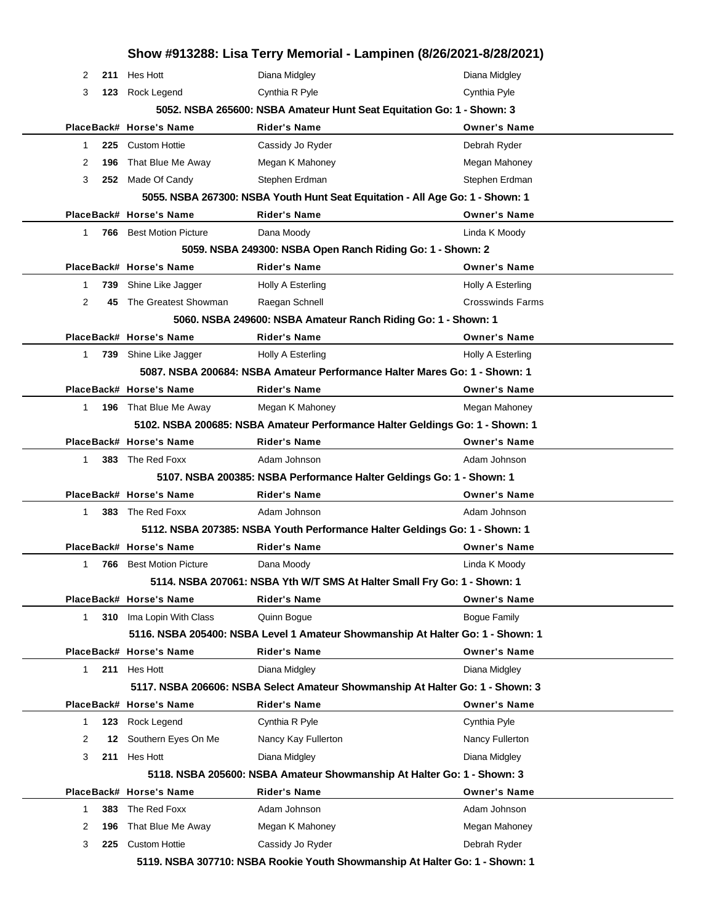|                      |                                | Show #913288: Lisa Terry Memorial - Lampinen (8/26/2021-8/28/2021)             |                          |
|----------------------|--------------------------------|--------------------------------------------------------------------------------|--------------------------|
| 2                    | 211 Hes Hott                   | Diana Midgley                                                                  | Diana Midgley            |
| 3                    | 123 Rock Legend                | Cynthia R Pyle                                                                 | Cynthia Pyle             |
|                      |                                | 5052. NSBA 265600: NSBA Amateur Hunt Seat Equitation Go: 1 - Shown: 3          |                          |
|                      | PlaceBack# Horse's Name        | <b>Rider's Name</b>                                                            | <b>Owner's Name</b>      |
| 1                    | 225 Custom Hottie              | Cassidy Jo Ryder                                                               | Debrah Ryder             |
| 2<br>196             | That Blue Me Away              | Megan K Mahoney                                                                | Megan Mahoney            |
| 3<br>252             | Made Of Candy                  | Stephen Erdman                                                                 | Stephen Erdman           |
|                      |                                | 5055. NSBA 267300: NSBA Youth Hunt Seat Equitation - All Age Go: 1 - Shown: 1  |                          |
|                      | PlaceBack# Horse's Name        | <b>Rider's Name</b>                                                            | <b>Owner's Name</b>      |
| $\mathbf 1$          | <b>766</b> Best Motion Picture | Dana Moody                                                                     | Linda K Moody            |
|                      |                                | 5059. NSBA 249300: NSBA Open Ranch Riding Go: 1 - Shown: 2                     |                          |
|                      | PlaceBack# Horse's Name        | <b>Rider's Name</b>                                                            | <b>Owner's Name</b>      |
| 739<br>1             | Shine Like Jagger              | Holly A Esterling                                                              | Holly A Esterling        |
| $\overline{2}$<br>45 | The Greatest Showman           | Raegan Schnell                                                                 | <b>Crosswinds Farms</b>  |
|                      |                                | 5060. NSBA 249600: NSBA Amateur Ranch Riding Go: 1 - Shown: 1                  |                          |
|                      | PlaceBack# Horse's Name        | <b>Rider's Name</b>                                                            | <b>Owner's Name</b>      |
| $\mathbf{1}$         | 739 Shine Like Jagger          | Holly A Esterling                                                              | <b>Holly A Esterling</b> |
|                      |                                | 5087. NSBA 200684: NSBA Amateur Performance Halter Mares Go: 1 - Shown: 1      |                          |
|                      | PlaceBack# Horse's Name        | <b>Rider's Name</b>                                                            | <b>Owner's Name</b>      |
| $\mathbf{1}$         | 196 That Blue Me Away          | Megan K Mahoney                                                                | Megan Mahoney            |
|                      |                                | 5102. NSBA 200685: NSBA Amateur Performance Halter Geldings Go: 1 - Shown: 1   |                          |
|                      | PlaceBack# Horse's Name        | <b>Rider's Name</b>                                                            | <b>Owner's Name</b>      |
| 1                    | 383 The Red Foxx               | Adam Johnson                                                                   | Adam Johnson             |
|                      |                                | 5107. NSBA 200385: NSBA Performance Halter Geldings Go: 1 - Shown: 1           |                          |
|                      | PlaceBack# Horse's Name        | <b>Rider's Name</b>                                                            | <b>Owner's Name</b>      |
| $\mathbf 1$          | 383 The Red Foxx               | Adam Johnson                                                                   | Adam Johnson             |
|                      |                                | 5112. NSBA 207385: NSBA Youth Performance Halter Geldings Go: 1 - Shown: 1     |                          |
|                      | PlaceBack# Horse's Name        | <b>Rider's Name</b>                                                            | <b>Owner's Name</b>      |
| $\mathbf{1}$         | <b>766</b> Best Motion Picture | Dana Moodv                                                                     | Linda K Moody            |
|                      |                                | 5114. NSBA 207061: NSBA Yth W/T SMS At Halter Small Fry Go: 1 - Shown: 1       |                          |
|                      | PlaceBack# Horse's Name        | Rider's Name                                                                   | <b>Owner's Name</b>      |
| $\mathbf{1}$         | 310 Ima Lopin With Class       | Quinn Bogue                                                                    | <b>Bogue Family</b>      |
|                      |                                | 5116. NSBA 205400: NSBA Level 1 Amateur Showmanship At Halter Go: 1 - Shown: 1 |                          |
|                      | PlaceBack# Horse's Name        | <b>Rider's Name</b>                                                            | <b>Owner's Name</b>      |
| 1                    | 211 Hes Hott                   | Diana Midgley                                                                  | Diana Midgley            |
|                      |                                | 5117. NSBA 206606: NSBA Select Amateur Showmanship At Halter Go: 1 - Shown: 3  |                          |
|                      | PlaceBack# Horse's Name        | <b>Rider's Name</b>                                                            | <b>Owner's Name</b>      |
| 123<br>1             | Rock Legend                    | Cynthia R Pyle                                                                 | Cynthia Pyle             |
| 2<br>12              | Southern Eyes On Me            | Nancy Kay Fullerton                                                            | Nancy Fullerton          |
| 3<br>211             | Hes Hott                       | Diana Midgley                                                                  | Diana Midgley            |
|                      |                                | 5118. NSBA 205600: NSBA Amateur Showmanship At Halter Go: 1 - Shown: 3         |                          |
|                      | PlaceBack# Horse's Name        | <b>Rider's Name</b>                                                            | <b>Owner's Name</b>      |
| 383<br>1             | The Red Foxx                   | Adam Johnson                                                                   | Adam Johnson             |
| 2<br>196             | That Blue Me Away              | Megan K Mahoney                                                                | Megan Mahoney            |
| 3<br>225             | <b>Custom Hottie</b>           | Cassidy Jo Ryder                                                               | Debrah Ryder             |
|                      |                                | 5119. NSBA 307710: NSBA Rookie Youth Showmanship At Halter Go: 1 - Shown: 1    |                          |